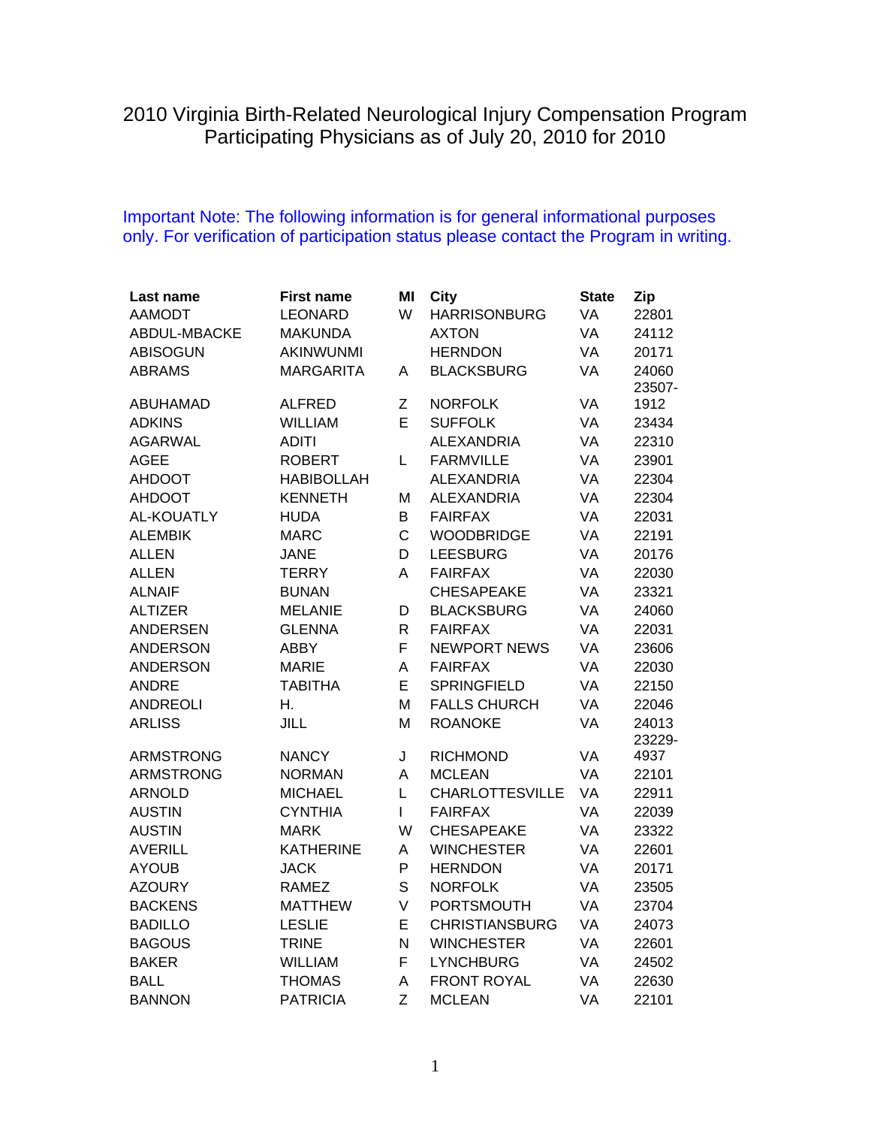## 2010 Virginia Birth-Related Neurological Injury Compensation Program Participating Physicians as of July 20, 2010 for 2010

## Important Note: The following information is for general informational purposes only. For verification of participation status please contact the Program in writing.

| Last name         | <b>First name</b> | MI           | City                   | <b>State</b> | Zip    |
|-------------------|-------------------|--------------|------------------------|--------------|--------|
| <b>AAMODT</b>     | <b>LEONARD</b>    | W            | <b>HARRISONBURG</b>    | VA           | 22801  |
| ABDUL-MBACKE      | <b>MAKUNDA</b>    |              | <b>AXTON</b>           | VA           | 24112  |
| <b>ABISOGUN</b>   | AKINWUNMI         |              | <b>HERNDON</b>         | VA           | 20171  |
| <b>ABRAMS</b>     | <b>MARGARITA</b>  | A            | <b>BLACKSBURG</b>      | VA           | 24060  |
|                   |                   |              |                        |              | 23507- |
| <b>ABUHAMAD</b>   | ALFRED            | Ζ            | <b>NORFOLK</b>         | VA           | 1912   |
| <b>ADKINS</b>     | <b>WILLIAM</b>    | E            | <b>SUFFOLK</b>         | VA           | 23434  |
| <b>AGARWAL</b>    | <b>ADITI</b>      |              | ALEXANDRIA             | VA           | 22310  |
| <b>AGEE</b>       | <b>ROBERT</b>     | L            | <b>FARMVILLE</b>       | VA           | 23901  |
| <b>AHDOOT</b>     | <b>HABIBOLLAH</b> |              | <b>ALEXANDRIA</b>      | VA           | 22304  |
| <b>AHDOOT</b>     | <b>KENNETH</b>    | M            | <b>ALEXANDRIA</b>      | VA           | 22304  |
| <b>AL-KOUATLY</b> | <b>HUDA</b>       | B            | <b>FAIRFAX</b>         | VA           | 22031  |
| <b>ALEMBIK</b>    | <b>MARC</b>       | C            | <b>WOODBRIDGE</b>      | VA           | 22191  |
| <b>ALLEN</b>      | <b>JANE</b>       | D            | <b>LEESBURG</b>        | VA           | 20176  |
| <b>ALLEN</b>      | <b>TERRY</b>      | A            | <b>FAIRFAX</b>         | <b>VA</b>    | 22030  |
| <b>ALNAIF</b>     | <b>BUNAN</b>      |              | <b>CHESAPEAKE</b>      | <b>VA</b>    | 23321  |
| <b>ALTIZER</b>    | <b>MELANIE</b>    | D            | <b>BLACKSBURG</b>      | <b>VA</b>    | 24060  |
| <b>ANDERSEN</b>   | <b>GLENNA</b>     | $\mathsf{R}$ | <b>FAIRFAX</b>         | <b>VA</b>    | 22031  |
| <b>ANDERSON</b>   | ABBY              | F            | <b>NEWPORT NEWS</b>    | <b>VA</b>    | 23606  |
| <b>ANDERSON</b>   | <b>MARIE</b>      | A            | <b>FAIRFAX</b>         | <b>VA</b>    | 22030  |
| <b>ANDRE</b>      | <b>TABITHA</b>    | E            | <b>SPRINGFIELD</b>     | VA           | 22150  |
| <b>ANDREOLI</b>   | Η.                | M            | <b>FALLS CHURCH</b>    | VA           | 22046  |
| <b>ARLISS</b>     | JILL              | M            | <b>ROANOKE</b>         | VA           | 24013  |
|                   |                   |              |                        |              | 23229- |
| <b>ARMSTRONG</b>  | <b>NANCY</b>      | J            | <b>RICHMOND</b>        | VA           | 4937   |
| <b>ARMSTRONG</b>  | <b>NORMAN</b>     | A            | <b>MCLEAN</b>          | VA           | 22101  |
| <b>ARNOLD</b>     | <b>MICHAEL</b>    | L            | <b>CHARLOTTESVILLE</b> | VA           | 22911  |
| <b>AUSTIN</b>     | <b>CYNTHIA</b>    | L            | <b>FAIRFAX</b>         | VA           | 22039  |
| <b>AUSTIN</b>     | <b>MARK</b>       | W            | <b>CHESAPEAKE</b>      | VA           | 23322  |
| <b>AVERILL</b>    | <b>KATHERINE</b>  | A            | <b>WINCHESTER</b>      | VA           | 22601  |
| <b>AYOUB</b>      | <b>JACK</b>       | P            | <b>HERNDON</b>         | VA           | 20171  |
| <b>AZOURY</b>     | <b>RAMEZ</b>      | S            | <b>NORFOLK</b>         | VA           | 23505  |
| <b>BACKENS</b>    | <b>MATTHEW</b>    | $\vee$       | <b>PORTSMOUTH</b>      | VA           | 23704  |
| <b>BADILLO</b>    | <b>LESLIE</b>     | E            | <b>CHRISTIANSBURG</b>  | VA           | 24073  |
| <b>BAGOUS</b>     | <b>TRINE</b>      | N            | <b>WINCHESTER</b>      | VA           | 22601  |
| <b>BAKER</b>      | WILLIAM           | F            | <b>LYNCHBURG</b>       | VA           | 24502  |
| <b>BALL</b>       | <b>THOMAS</b>     | A            | <b>FRONT ROYAL</b>     | VA           | 22630  |
| <b>BANNON</b>     | <b>PATRICIA</b>   | Z            | <b>MCLEAN</b>          | VA           | 22101  |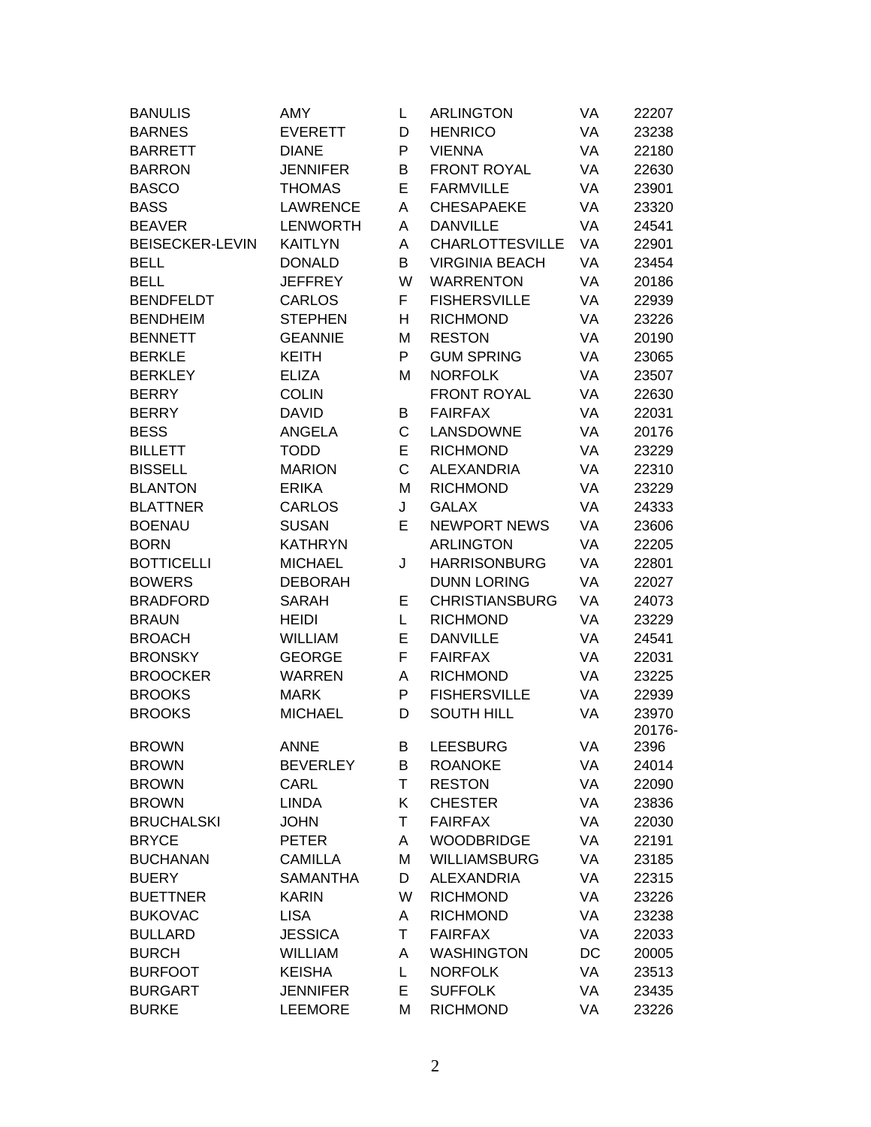| <b>BANULIS</b>         | AMY             | L  | <b>ARLINGTON</b>       | VA | 22207  |
|------------------------|-----------------|----|------------------------|----|--------|
| <b>BARNES</b>          | <b>EVERETT</b>  | D  | <b>HENRICO</b>         | VA | 23238  |
| <b>BARRETT</b>         | <b>DIANE</b>    | P  | <b>VIENNA</b>          | VA | 22180  |
| <b>BARRON</b>          | <b>JENNIFER</b> | В  | <b>FRONT ROYAL</b>     | VA | 22630  |
| <b>BASCO</b>           | <b>THOMAS</b>   | E  | <b>FARMVILLE</b>       | VA | 23901  |
| <b>BASS</b>            | <b>LAWRENCE</b> | Α  | <b>CHESAPAEKE</b>      | VA | 23320  |
| <b>BEAVER</b>          | <b>LENWORTH</b> | Α  | <b>DANVILLE</b>        | VA | 24541  |
| <b>BEISECKER-LEVIN</b> | <b>KAITLYN</b>  | A  | <b>CHARLOTTESVILLE</b> | VA | 22901  |
| <b>BELL</b>            | <b>DONALD</b>   | B  | <b>VIRGINIA BEACH</b>  | VA | 23454  |
| <b>BELL</b>            | <b>JEFFREY</b>  | W  | <b>WARRENTON</b>       | VA | 20186  |
| <b>BENDFELDT</b>       | <b>CARLOS</b>   | F  | <b>FISHERSVILLE</b>    | VA | 22939  |
| <b>BENDHEIM</b>        | <b>STEPHEN</b>  | н  | <b>RICHMOND</b>        | VA | 23226  |
| <b>BENNETT</b>         | <b>GEANNIE</b>  | M  | <b>RESTON</b>          | VA | 20190  |
| <b>BERKLE</b>          | <b>KEITH</b>    | P  | <b>GUM SPRING</b>      | VA | 23065  |
| <b>BERKLEY</b>         | <b>ELIZA</b>    | M  | <b>NORFOLK</b>         | VA | 23507  |
| <b>BERRY</b>           | <b>COLIN</b>    |    | <b>FRONT ROYAL</b>     | VA | 22630  |
| <b>BERRY</b>           | <b>DAVID</b>    | B  | <b>FAIRFAX</b>         | VA | 22031  |
| <b>BESS</b>            | <b>ANGELA</b>   | C  | LANSDOWNE              | VA | 20176  |
| <b>BILLETT</b>         | <b>TODD</b>     | E  | <b>RICHMOND</b>        | VA | 23229  |
| <b>BISSELL</b>         | <b>MARION</b>   | C  | <b>ALEXANDRIA</b>      | VA | 22310  |
| <b>BLANTON</b>         | <b>ERIKA</b>    | M  | <b>RICHMOND</b>        | VA | 23229  |
| <b>BLATTNER</b>        | CARLOS          | J  | <b>GALAX</b>           | VA | 24333  |
| <b>BOENAU</b>          | <b>SUSAN</b>    | E  | <b>NEWPORT NEWS</b>    | VA | 23606  |
| <b>BORN</b>            | <b>KATHRYN</b>  |    | <b>ARLINGTON</b>       | VA | 22205  |
| <b>BOTTICELLI</b>      | <b>MICHAEL</b>  | J  | <b>HARRISONBURG</b>    | VA | 22801  |
| <b>BOWERS</b>          | <b>DEBORAH</b>  |    | <b>DUNN LORING</b>     | VA | 22027  |
| <b>BRADFORD</b>        | <b>SARAH</b>    | E  | <b>CHRISTIANSBURG</b>  | VA | 24073  |
| <b>BRAUN</b>           | <b>HEIDI</b>    | L  | <b>RICHMOND</b>        | VA | 23229  |
| <b>BROACH</b>          | <b>WILLIAM</b>  | E  | <b>DANVILLE</b>        | VA | 24541  |
| <b>BRONSKY</b>         | <b>GEORGE</b>   | F  | <b>FAIRFAX</b>         | VA | 22031  |
| <b>BROOCKER</b>        | <b>WARREN</b>   | Α  | <b>RICHMOND</b>        | VA | 23225  |
| <b>BROOKS</b>          | <b>MARK</b>     | P  | <b>FISHERSVILLE</b>    | VA | 22939  |
| <b>BROOKS</b>          | <b>MICHAEL</b>  | D  | <b>SOUTH HILL</b>      | VA | 23970  |
|                        |                 |    |                        |    | 20176- |
| <b>BROWN</b>           | <b>ANNE</b>     | B  | <b>LEESBURG</b>        | VA | 2396   |
| <b>BROWN</b>           | <b>BEVERLEY</b> | В  | <b>ROANOKE</b>         | VA | 24014  |
| <b>BROWN</b>           | CARL            | T  | <b>RESTON</b>          | VA | 22090  |
| <b>BROWN</b>           | <b>LINDA</b>    | Κ  | <b>CHESTER</b>         | VA | 23836  |
| <b>BRUCHALSKI</b>      | <b>JOHN</b>     | T  | <b>FAIRFAX</b>         | VA | 22030  |
| <b>BRYCE</b>           | <b>PETER</b>    | Α  | <b>WOODBRIDGE</b>      | VA | 22191  |
| <b>BUCHANAN</b>        | <b>CAMILLA</b>  | M  | <b>WILLIAMSBURG</b>    | VA | 23185  |
| <b>BUERY</b>           | <b>SAMANTHA</b> | D  | <b>ALEXANDRIA</b>      | VA | 22315  |
| <b>BUETTNER</b>        | <b>KARIN</b>    | W  | <b>RICHMOND</b>        | VA | 23226  |
| <b>BUKOVAC</b>         | <b>LISA</b>     | Α  | <b>RICHMOND</b>        | VA | 23238  |
| <b>BULLARD</b>         | <b>JESSICA</b>  | T  | <b>FAIRFAX</b>         | VA | 22033  |
| <b>BURCH</b>           | <b>WILLIAM</b>  | Α  | <b>WASHINGTON</b>      | DC | 20005  |
| <b>BURFOOT</b>         | <b>KEISHA</b>   | L. | <b>NORFOLK</b>         | VA | 23513  |
| <b>BURGART</b>         | <b>JENNIFER</b> | E  | <b>SUFFOLK</b>         | VA | 23435  |
| <b>BURKE</b>           | <b>LEEMORE</b>  | M  | <b>RICHMOND</b>        | VA | 23226  |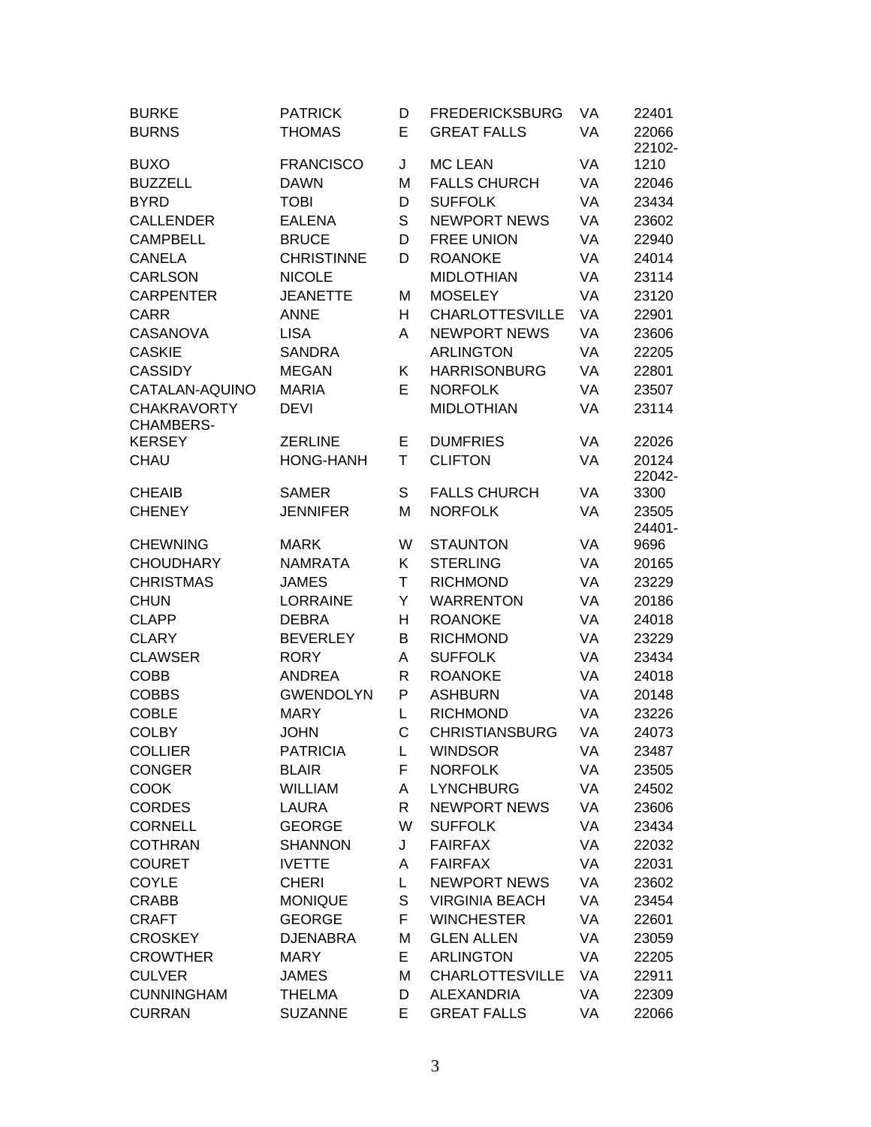| <b>BURKE</b>       | <b>PATRICK</b>    | D            | <b>FREDERICKSBURG</b>  | VA | 22401           |
|--------------------|-------------------|--------------|------------------------|----|-----------------|
| <b>BURNS</b>       | <b>THOMAS</b>     | E            | <b>GREAT FALLS</b>     | VA | 22066           |
|                    |                   |              |                        |    | 22102-          |
| <b>BUXO</b>        | <b>FRANCISCO</b>  | J            | <b>MC LEAN</b>         | VA | 1210            |
| <b>BUZZELL</b>     | <b>DAWN</b>       | M            | <b>FALLS CHURCH</b>    | VA | 22046           |
| <b>BYRD</b>        | <b>TOBI</b>       | D            | <b>SUFFOLK</b>         | VA | 23434           |
| <b>CALLENDER</b>   | <b>EALENA</b>     | S            | <b>NEWPORT NEWS</b>    | VA | 23602           |
| <b>CAMPBELL</b>    | <b>BRUCE</b>      | D            | <b>FREE UNION</b>      | VA | 22940           |
| <b>CANELA</b>      | <b>CHRISTINNE</b> | D            | <b>ROANOKE</b>         | VA | 24014           |
| <b>CARLSON</b>     | <b>NICOLE</b>     |              | <b>MIDLOTHIAN</b>      | VA | 23114           |
| <b>CARPENTER</b>   | <b>JEANETTE</b>   | M            | <b>MOSELEY</b>         | VA | 23120           |
| <b>CARR</b>        | <b>ANNE</b>       | H            | <b>CHARLOTTESVILLE</b> | VA | 22901           |
| <b>CASANOVA</b>    | <b>LISA</b>       | Α            | <b>NEWPORT NEWS</b>    | VA | 23606           |
| <b>CASKIE</b>      | <b>SANDRA</b>     |              | <b>ARLINGTON</b>       | VA | 22205           |
| <b>CASSIDY</b>     | <b>MEGAN</b>      | Κ            | <b>HARRISONBURG</b>    | VA | 22801           |
| CATALAN-AQUINO     | <b>MARIA</b>      | Е            | <b>NORFOLK</b>         | VA | 23507           |
| <b>CHAKRAVORTY</b> | <b>DEVI</b>       |              | <b>MIDLOTHIAN</b>      | VA | 23114           |
| <b>CHAMBERS-</b>   |                   |              |                        |    |                 |
| <b>KERSEY</b>      | <b>ZERLINE</b>    | Е            | <b>DUMFRIES</b>        | VA | 22026           |
| CHAU               | <b>HONG-HANH</b>  | T            | <b>CLIFTON</b>         | VA | 20124           |
|                    |                   |              |                        |    | 22042-          |
| <b>CHEAIB</b>      | <b>SAMER</b>      | S            | <b>FALLS CHURCH</b>    | VA | 3300            |
| <b>CHENEY</b>      | <b>JENNIFER</b>   | M            | <b>NORFOLK</b>         | VA | 23505<br>24401- |
| <b>CHEWNING</b>    | <b>MARK</b>       | W            | <b>STAUNTON</b>        | VA | 9696            |
| <b>CHOUDHARY</b>   | <b>NAMRATA</b>    | K            | <b>STERLING</b>        | VA | 20165           |
| <b>CHRISTMAS</b>   | <b>JAMES</b>      | T            | <b>RICHMOND</b>        | VA | 23229           |
| <b>CHUN</b>        | <b>LORRAINE</b>   | Y            | <b>WARRENTON</b>       | VA | 20186           |
| <b>CLAPP</b>       | <b>DEBRA</b>      | Н            | <b>ROANOKE</b>         | VA | 24018           |
| <b>CLARY</b>       | <b>BEVERLEY</b>   | B            | <b>RICHMOND</b>        | VA | 23229           |
| <b>CLAWSER</b>     | <b>RORY</b>       | A            | <b>SUFFOLK</b>         | VA | 23434           |
| <b>COBB</b>        | <b>ANDREA</b>     | $\mathsf{R}$ | <b>ROANOKE</b>         | VA | 24018           |
| <b>COBBS</b>       | <b>GWENDOLYN</b>  | P            | <b>ASHBURN</b>         | VA | 20148           |
| <b>COBLE</b>       | <b>MARY</b>       | L            | <b>RICHMOND</b>        | VA | 23226           |
| <b>COLBY</b>       | <b>JOHN</b>       | C            | <b>CHRISTIANSBURG</b>  | VA |                 |
|                    |                   |              |                        |    | 24073           |
| <b>COLLIER</b>     | <b>PATRICIA</b>   | L            | <b>WINDSOR</b>         | VA | 23487           |
| <b>CONGER</b>      | <b>BLAIR</b>      | F            | <b>NORFOLK</b>         | VA | 23505           |
| <b>COOK</b>        | <b>WILLIAM</b>    | Α            | <b>LYNCHBURG</b>       | VA | 24502           |
| <b>CORDES</b>      | LAURA             | R            | <b>NEWPORT NEWS</b>    | VA | 23606           |
| <b>CORNELL</b>     | <b>GEORGE</b>     | W            | <b>SUFFOLK</b>         | VA | 23434           |
| <b>COTHRAN</b>     | <b>SHANNON</b>    | J            | <b>FAIRFAX</b>         | VA | 22032           |
| <b>COURET</b>      | <b>IVETTE</b>     | Α            | <b>FAIRFAX</b>         | VA | 22031           |
| <b>COYLE</b>       | <b>CHERI</b>      | L.           | <b>NEWPORT NEWS</b>    | VA | 23602           |
| <b>CRABB</b>       | <b>MONIQUE</b>    | S            | <b>VIRGINIA BEACH</b>  | VA | 23454           |
| <b>CRAFT</b>       | <b>GEORGE</b>     | F.           | <b>WINCHESTER</b>      | VA | 22601           |
| <b>CROSKEY</b>     | <b>DJENABRA</b>   | M            | <b>GLEN ALLEN</b>      | VA | 23059           |
| <b>CROWTHER</b>    | <b>MARY</b>       | E            | <b>ARLINGTON</b>       | VA | 22205           |
| <b>CULVER</b>      | <b>JAMES</b>      | M            | <b>CHARLOTTESVILLE</b> | VA | 22911           |
| <b>CUNNINGHAM</b>  | <b>THELMA</b>     | D            | <b>ALEXANDRIA</b>      | VA | 22309           |
| <b>CURRAN</b>      | <b>SUZANNE</b>    | E            | <b>GREAT FALLS</b>     | VA | 22066           |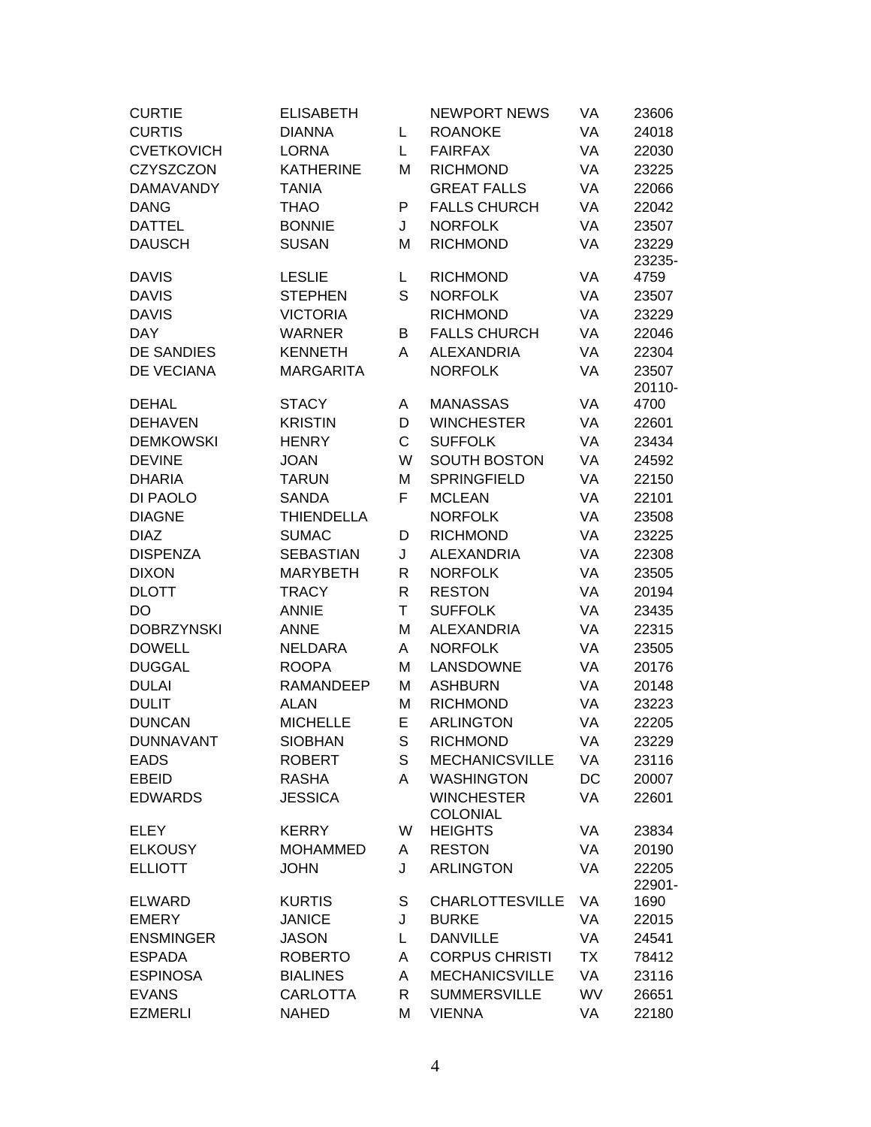| <b>CURTIE</b>     | <b>ELISABETH</b>  |              | <b>NEWPORT NEWS</b>    | VA        | 23606          |
|-------------------|-------------------|--------------|------------------------|-----------|----------------|
| <b>CURTIS</b>     | <b>DIANNA</b>     | L            | <b>ROANOKE</b>         | VA        | 24018          |
| <b>CVETKOVICH</b> | <b>LORNA</b>      | L            | <b>FAIRFAX</b>         | VA        | 22030          |
| <b>CZYSZCZON</b>  | <b>KATHERINE</b>  | M            | <b>RICHMOND</b>        | VA        | 23225          |
| <b>DAMAVANDY</b>  | <b>TANIA</b>      |              | <b>GREAT FALLS</b>     | VA        | 22066          |
| <b>DANG</b>       | <b>THAO</b>       | P            | <b>FALLS CHURCH</b>    | VA        | 22042          |
| <b>DATTEL</b>     | <b>BONNIE</b>     | J            | <b>NORFOLK</b>         | VA        | 23507          |
| <b>DAUSCH</b>     | <b>SUSAN</b>      | M            | <b>RICHMOND</b>        | VA        | 23229          |
|                   |                   |              |                        |           | 23235-         |
| <b>DAVIS</b>      | <b>LESLIE</b>     | L            | <b>RICHMOND</b>        | VA        | 4759           |
| <b>DAVIS</b>      | <b>STEPHEN</b>    | S            | <b>NORFOLK</b>         | VA        | 23507          |
| <b>DAVIS</b>      | <b>VICTORIA</b>   |              | <b>RICHMOND</b>        | VA        | 23229          |
| <b>DAY</b>        | <b>WARNER</b>     | B            | <b>FALLS CHURCH</b>    | VA        | 22046          |
| <b>DE SANDIES</b> | <b>KENNETH</b>    | Α            | <b>ALEXANDRIA</b>      | VA        | 22304          |
| DE VECIANA        | <b>MARGARITA</b>  |              | <b>NORFOLK</b>         | VA        | 23507          |
|                   |                   |              |                        |           | 20110-         |
| <b>DEHAL</b>      | <b>STACY</b>      | A            | <b>MANASSAS</b>        | VA        | 4700           |
| <b>DEHAVEN</b>    | <b>KRISTIN</b>    | D            | <b>WINCHESTER</b>      | VA        | 22601          |
| <b>DEMKOWSKI</b>  | <b>HENRY</b>      | C            | <b>SUFFOLK</b>         | VA        | 23434          |
| <b>DEVINE</b>     | <b>JOAN</b>       | W            | <b>SOUTH BOSTON</b>    | VA        | 24592          |
| <b>DHARIA</b>     | <b>TARUN</b>      | M            | <b>SPRINGFIELD</b>     | VA        | 22150          |
| DI PAOLO          | <b>SANDA</b>      | F            | <b>MCLEAN</b>          | VA        | 22101          |
| <b>DIAGNE</b>     | <b>THIENDELLA</b> |              | <b>NORFOLK</b>         | VA        | 23508          |
| <b>DIAZ</b>       | <b>SUMAC</b>      | D            | <b>RICHMOND</b>        | VA        | 23225          |
| <b>DISPENZA</b>   | <b>SEBASTIAN</b>  | J            | <b>ALEXANDRIA</b>      | VA        | 22308          |
| <b>DIXON</b>      | <b>MARYBETH</b>   | $\mathsf{R}$ | <b>NORFOLK</b>         | VA        | 23505          |
| <b>DLOTT</b>      | <b>TRACY</b>      | R            | <b>RESTON</b>          | VA        | 20194          |
| DO                | <b>ANNIE</b>      | T            | <b>SUFFOLK</b>         | VA        | 23435          |
| <b>DOBRZYNSKI</b> | <b>ANNE</b>       | M            | <b>ALEXANDRIA</b>      | VA        | 22315          |
| <b>DOWELL</b>     | <b>NELDARA</b>    | A            | <b>NORFOLK</b>         | VA        | 23505          |
| <b>DUGGAL</b>     | <b>ROOPA</b>      | M            | LANSDOWNE              | VA        | 20176          |
| <b>DULAI</b>      | <b>RAMANDEEP</b>  | M            | <b>ASHBURN</b>         | VA        | 20148          |
| <b>DULIT</b>      | ALAN              | M            | <b>RICHMOND</b>        | VA        | 23223          |
| <b>DUNCAN</b>     | <b>MICHELLE</b>   | E            | <b>ARLINGTON</b>       | VA        | 22205          |
| <b>DUNNAVANT</b>  | <b>SIOBHAN</b>    | S            | <b>RICHMOND</b>        | VA        | 23229          |
| <b>EADS</b>       | <b>ROBERT</b>     | S            | <b>MECHANICSVILLE</b>  | VA        | 23116          |
| <b>EBEID</b>      | <b>RASHA</b>      | A            | <b>WASHINGTON</b>      | DC        | 20007          |
| <b>EDWARDS</b>    | <b>JESSICA</b>    |              | <b>WINCHESTER</b>      | VA        | 22601          |
|                   |                   |              | <b>COLONIAL</b>        |           |                |
| <b>ELEY</b>       | <b>KERRY</b>      | W            | <b>HEIGHTS</b>         | VA        | 23834          |
| <b>ELKOUSY</b>    | <b>MOHAMMED</b>   | A            | <b>RESTON</b>          | VA        | 20190          |
| <b>ELLIOTT</b>    | <b>JOHN</b>       | J            | <b>ARLINGTON</b>       | VA        | 22205          |
| <b>ELWARD</b>     | <b>KURTIS</b>     | S            | <b>CHARLOTTESVILLE</b> | VA        | 22901-<br>1690 |
| <b>EMERY</b>      | <b>JANICE</b>     | J            | <b>BURKE</b>           | VA        | 22015          |
| <b>ENSMINGER</b>  | <b>JASON</b>      | L            | <b>DANVILLE</b>        | VA        | 24541          |
| <b>ESPADA</b>     | <b>ROBERTO</b>    | A            | <b>CORPUS CHRISTI</b>  | TX        | 78412          |
| <b>ESPINOSA</b>   | <b>BIALINES</b>   | A            | <b>MECHANICSVILLE</b>  | VA        | 23116          |
| <b>EVANS</b>      | <b>CARLOTTA</b>   | R            | <b>SUMMERSVILLE</b>    | <b>WV</b> | 26651          |
| <b>EZMERLI</b>    | <b>NAHED</b>      | M            | <b>VIENNA</b>          | VA        |                |
|                   |                   |              |                        |           | 22180          |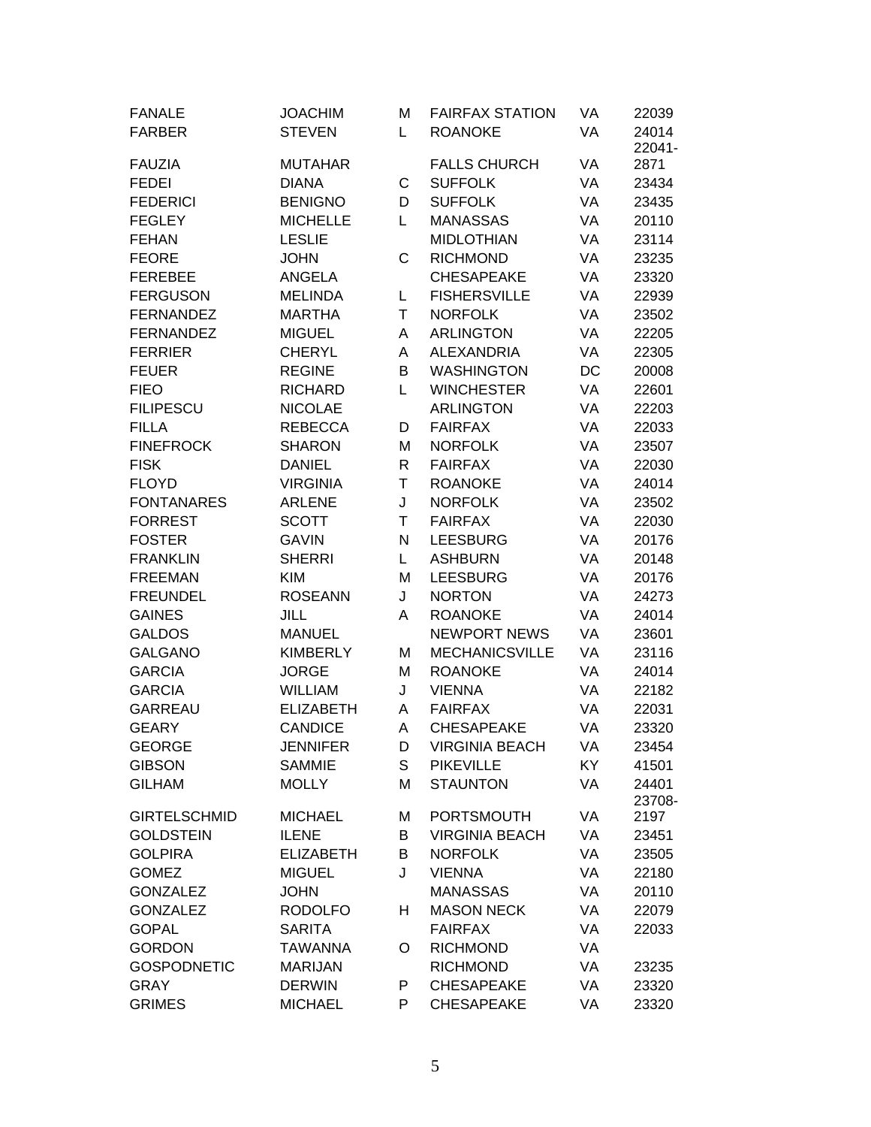| <b>FANALE</b>       | <b>JOACHIM</b>   | M  | <b>FAIRFAX STATION</b> | VA | 22039           |
|---------------------|------------------|----|------------------------|----|-----------------|
| <b>FARBER</b>       | <b>STEVEN</b>    | L. | <b>ROANOKE</b>         | VA | 24014<br>22041- |
| <b>FAUZIA</b>       | <b>MUTAHAR</b>   |    | <b>FALLS CHURCH</b>    | VA | 2871            |
| <b>FEDEI</b>        | <b>DIANA</b>     | С  | <b>SUFFOLK</b>         | VA | 23434           |
| <b>FEDERICI</b>     | <b>BENIGNO</b>   | D  | <b>SUFFOLK</b>         | VA | 23435           |
| <b>FEGLEY</b>       | <b>MICHELLE</b>  | L  | <b>MANASSAS</b>        | VA | 20110           |
| <b>FEHAN</b>        | <b>LESLIE</b>    |    | <b>MIDLOTHIAN</b>      | VA | 23114           |
| <b>FEORE</b>        | <b>JOHN</b>      | C  | <b>RICHMOND</b>        | VA | 23235           |
| <b>FEREBEE</b>      | ANGELA           |    | <b>CHESAPEAKE</b>      | VA | 23320           |
| <b>FERGUSON</b>     | <b>MELINDA</b>   | L  | <b>FISHERSVILLE</b>    | VA | 22939           |
| <b>FERNANDEZ</b>    | <b>MARTHA</b>    | T  | <b>NORFOLK</b>         | VA | 23502           |
| <b>FERNANDEZ</b>    | <b>MIGUEL</b>    | Α  | <b>ARLINGTON</b>       | VA | 22205           |
| <b>FERRIER</b>      | <b>CHERYL</b>    | A  | <b>ALEXANDRIA</b>      | VA | 22305           |
| <b>FEUER</b>        | <b>REGINE</b>    | B  | <b>WASHINGTON</b>      | DC | 20008           |
| <b>FIEO</b>         | <b>RICHARD</b>   | L  | <b>WINCHESTER</b>      | VA | 22601           |
| <b>FILIPESCU</b>    | <b>NICOLAE</b>   |    | <b>ARLINGTON</b>       | VA | 22203           |
| <b>FILLA</b>        | <b>REBECCA</b>   | D  | <b>FAIRFAX</b>         | VA | 22033           |
| <b>FINEFROCK</b>    | <b>SHARON</b>    | M  | <b>NORFOLK</b>         | VA | 23507           |
| <b>FISK</b>         | <b>DANIEL</b>    | R  | <b>FAIRFAX</b>         | VA | 22030           |
| <b>FLOYD</b>        | <b>VIRGINIA</b>  | T  | <b>ROANOKE</b>         | VA | 24014           |
| <b>FONTANARES</b>   | <b>ARLENE</b>    | J  | <b>NORFOLK</b>         | VA | 23502           |
| <b>FORREST</b>      | <b>SCOTT</b>     | T. | <b>FAIRFAX</b>         | VA | 22030           |
| <b>FOSTER</b>       | <b>GAVIN</b>     | N  | <b>LEESBURG</b>        | VA | 20176           |
| <b>FRANKLIN</b>     | <b>SHERRI</b>    | L. | <b>ASHBURN</b>         | VA | 20148           |
| <b>FREEMAN</b>      | <b>KIM</b>       | M  | <b>LEESBURG</b>        | VA | 20176           |
| <b>FREUNDEL</b>     | <b>ROSEANN</b>   | J  | <b>NORTON</b>          | VA | 24273           |
| <b>GAINES</b>       | <b>JILL</b>      | Α  | <b>ROANOKE</b>         | VA | 24014           |
| <b>GALDOS</b>       | <b>MANUEL</b>    |    | <b>NEWPORT NEWS</b>    | VA | 23601           |
| <b>GALGANO</b>      | <b>KIMBERLY</b>  | M  | <b>MECHANICSVILLE</b>  | VA | 23116           |
| <b>GARCIA</b>       | <b>JORGE</b>     | M  | <b>ROANOKE</b>         | VA | 24014           |
| <b>GARCIA</b>       | <b>WILLIAM</b>   | J  | <b>VIENNA</b>          | VA | 22182           |
| <b>GARREAU</b>      | <b>ELIZABETH</b> | Α  | <b>FAIRFAX</b>         | VA | 22031           |
| <b>GEARY</b>        | <b>CANDICE</b>   | Α  | <b>CHESAPEAKE</b>      | VA | 23320           |
| <b>GEORGE</b>       | <b>JENNIFER</b>  | D  | VIRGINIA BEACH         | VA | 23454           |
| <b>GIBSON</b>       | <b>SAMMIE</b>    | S  | <b>PIKEVILLE</b>       | KY | 41501           |
| <b>GILHAM</b>       | <b>MOLLY</b>     | M  | <b>STAUNTON</b>        | VA | 24401           |
|                     |                  |    |                        |    | 23708-          |
| <b>GIRTELSCHMID</b> | <b>MICHAEL</b>   | M  | PORTSMOUTH             | VA | 2197            |
| <b>GOLDSTEIN</b>    | <b>ILENE</b>     | B  | <b>VIRGINIA BEACH</b>  | VA | 23451           |
| <b>GOLPIRA</b>      | <b>ELIZABETH</b> | B  | <b>NORFOLK</b>         | VA | 23505           |
| <b>GOMEZ</b>        | <b>MIGUEL</b>    | J  | <b>VIENNA</b>          | VA | 22180           |
| <b>GONZALEZ</b>     | <b>JOHN</b>      |    | <b>MANASSAS</b>        | VA | 20110           |
| <b>GONZALEZ</b>     | <b>RODOLFO</b>   | H  | <b>MASON NECK</b>      | VA | 22079           |
| <b>GOPAL</b>        | <b>SARITA</b>    |    | <b>FAIRFAX</b>         | VA | 22033           |
| <b>GORDON</b>       | <b>TAWANNA</b>   | O  | <b>RICHMOND</b>        | VA |                 |
| <b>GOSPODNETIC</b>  | <b>MARIJAN</b>   |    | <b>RICHMOND</b>        | VA | 23235           |
| <b>GRAY</b>         | <b>DERWIN</b>    | P  | <b>CHESAPEAKE</b>      | VA | 23320           |
| <b>GRIMES</b>       | <b>MICHAEL</b>   | P  | <b>CHESAPEAKE</b>      | VA | 23320           |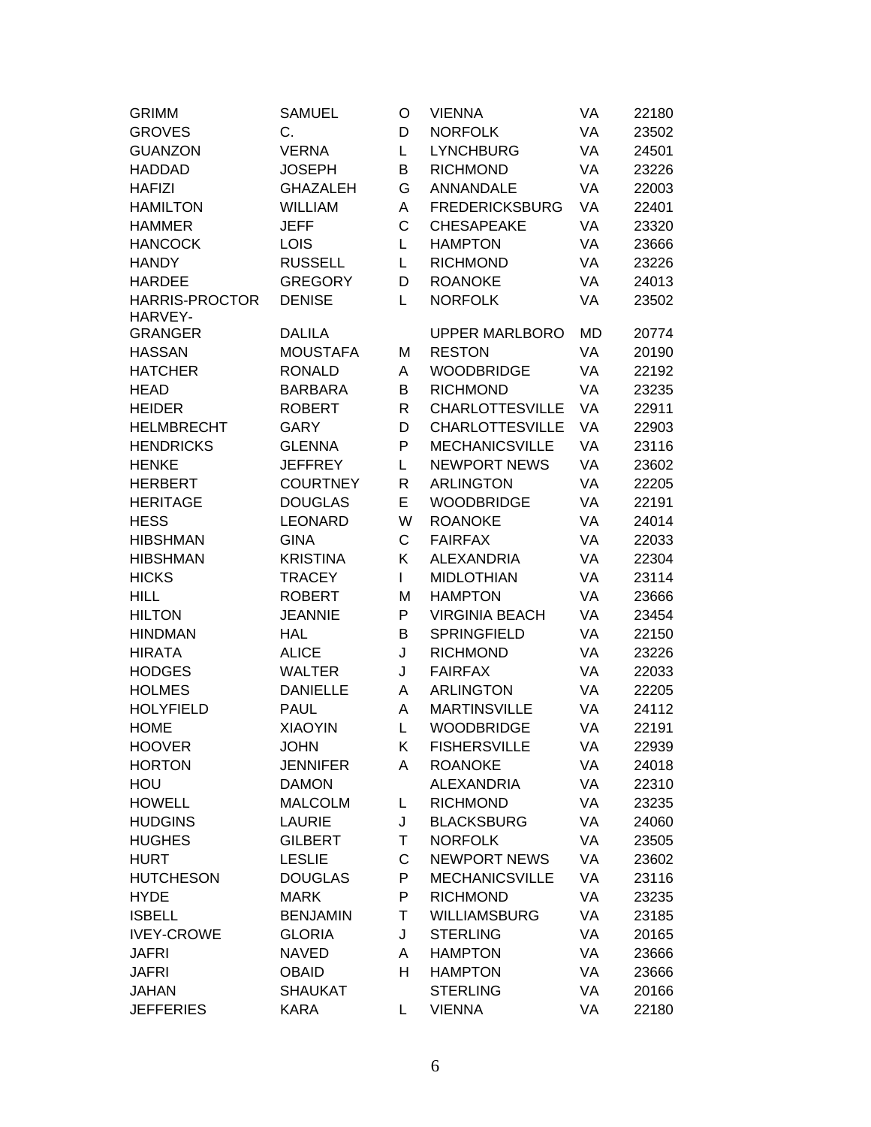| <b>GRIMM</b>          | <b>SAMUEL</b>   | O            | <b>VIENNA</b>          | VA | 22180 |
|-----------------------|-----------------|--------------|------------------------|----|-------|
| <b>GROVES</b>         | C.              | D            | <b>NORFOLK</b>         | VA | 23502 |
| <b>GUANZON</b>        | <b>VERNA</b>    | L            | <b>LYNCHBURG</b>       | VA | 24501 |
| <b>HADDAD</b>         | <b>JOSEPH</b>   | B            | <b>RICHMOND</b>        | VA | 23226 |
| <b>HAFIZI</b>         | <b>GHAZALEH</b> | G            | ANNANDALE              | VA | 22003 |
| <b>HAMILTON</b>       | <b>WILLIAM</b>  | Α            | <b>FREDERICKSBURG</b>  | VA | 22401 |
| <b>HAMMER</b>         | <b>JEFF</b>     | C            | <b>CHESAPEAKE</b>      | VA | 23320 |
| <b>HANCOCK</b>        | <b>LOIS</b>     | L            | <b>HAMPTON</b>         | VA | 23666 |
| <b>HANDY</b>          | <b>RUSSELL</b>  | L            | <b>RICHMOND</b>        | VA | 23226 |
| <b>HARDEE</b>         | <b>GREGORY</b>  | D            | <b>ROANOKE</b>         | VA | 24013 |
| <b>HARRIS-PROCTOR</b> | <b>DENISE</b>   | L            | <b>NORFOLK</b>         | VA | 23502 |
| HARVEY-               |                 |              |                        |    |       |
| <b>GRANGER</b>        | <b>DALILA</b>   |              | <b>UPPER MARLBORO</b>  | MD | 20774 |
| <b>HASSAN</b>         | <b>MOUSTAFA</b> | M            | <b>RESTON</b>          | VA | 20190 |
| <b>HATCHER</b>        | <b>RONALD</b>   | A            | <b>WOODBRIDGE</b>      | VA | 22192 |
| <b>HEAD</b>           | <b>BARBARA</b>  | B            | <b>RICHMOND</b>        | VA | 23235 |
| <b>HEIDER</b>         | <b>ROBERT</b>   | $\mathsf{R}$ | <b>CHARLOTTESVILLE</b> | VA | 22911 |
| <b>HELMBRECHT</b>     | <b>GARY</b>     | D            | <b>CHARLOTTESVILLE</b> | VA | 22903 |
| <b>HENDRICKS</b>      | <b>GLENNA</b>   | P            | <b>MECHANICSVILLE</b>  | VA | 23116 |
| <b>HENKE</b>          | <b>JEFFREY</b>  | L            | <b>NEWPORT NEWS</b>    | VA | 23602 |
| <b>HERBERT</b>        | <b>COURTNEY</b> | R            | <b>ARLINGTON</b>       | VA | 22205 |
| <b>HERITAGE</b>       | <b>DOUGLAS</b>  | E            | <b>WOODBRIDGE</b>      | VA | 22191 |
| <b>HESS</b>           | <b>LEONARD</b>  | W            | <b>ROANOKE</b>         | VA | 24014 |
| <b>HIBSHMAN</b>       | <b>GINA</b>     | C            | <b>FAIRFAX</b>         | VA | 22033 |
| <b>HIBSHMAN</b>       | <b>KRISTINA</b> | K            | <b>ALEXANDRIA</b>      | VA | 22304 |
| <b>HICKS</b>          | <b>TRACEY</b>   | L            | <b>MIDLOTHIAN</b>      | VA | 23114 |
| <b>HILL</b>           | <b>ROBERT</b>   | M            | <b>HAMPTON</b>         | VA | 23666 |
| <b>HILTON</b>         | <b>JEANNIE</b>  | P            | <b>VIRGINIA BEACH</b>  | VA | 23454 |
| <b>HINDMAN</b>        | <b>HAL</b>      | B            | <b>SPRINGFIELD</b>     | VA | 22150 |
| <b>HIRATA</b>         | <b>ALICE</b>    | J            | <b>RICHMOND</b>        | VA | 23226 |
| <b>HODGES</b>         | <b>WALTER</b>   | J            | <b>FAIRFAX</b>         | VA | 22033 |
| <b>HOLMES</b>         | <b>DANIELLE</b> | Α            | <b>ARLINGTON</b>       | VA | 22205 |
| <b>HOLYFIELD</b>      | <b>PAUL</b>     | Α            | <b>MARTINSVILLE</b>    | VA | 24112 |
| <b>HOME</b>           | <b>XIAOYIN</b>  | L            | <b>WOODBRIDGE</b>      | VA | 22191 |
| <b>HOOVER</b>         | <b>JOHN</b>     | Κ            | <b>FISHERSVILLE</b>    | VA | 22939 |
| <b>HORTON</b>         | <b>JENNIFER</b> | A            | <b>ROANOKE</b>         | VA | 24018 |
| HOU                   | <b>DAMON</b>    |              | <b>ALEXANDRIA</b>      | VA | 22310 |
| <b>HOWELL</b>         | <b>MALCOLM</b>  | L            | <b>RICHMOND</b>        | VA | 23235 |
| <b>HUDGINS</b>        | <b>LAURIE</b>   | J            | <b>BLACKSBURG</b>      | VA | 24060 |
| <b>HUGHES</b>         | <b>GILBERT</b>  | Τ            | <b>NORFOLK</b>         | VA | 23505 |
| <b>HURT</b>           | <b>LESLIE</b>   | $\mathsf C$  | <b>NEWPORT NEWS</b>    | VA | 23602 |
| <b>HUTCHESON</b>      | <b>DOUGLAS</b>  | P            | <b>MECHANICSVILLE</b>  | VA | 23116 |
| <b>HYDE</b>           | <b>MARK</b>     | P            | <b>RICHMOND</b>        | VA | 23235 |
| <b>ISBELL</b>         | <b>BENJAMIN</b> | Τ            | <b>WILLIAMSBURG</b>    | VA | 23185 |
| <b>IVEY-CROWE</b>     | <b>GLORIA</b>   | J            | <b>STERLING</b>        | VA | 20165 |
| <b>JAFRI</b>          | <b>NAVED</b>    | A            | <b>HAMPTON</b>         | VA | 23666 |
| <b>JAFRI</b>          | <b>OBAID</b>    | H            | <b>HAMPTON</b>         | VA | 23666 |
| <b>JAHAN</b>          | <b>SHAUKAT</b>  |              | <b>STERLING</b>        | VA | 20166 |
| <b>JEFFERIES</b>      | <b>KARA</b>     | L            | <b>VIENNA</b>          | VA | 22180 |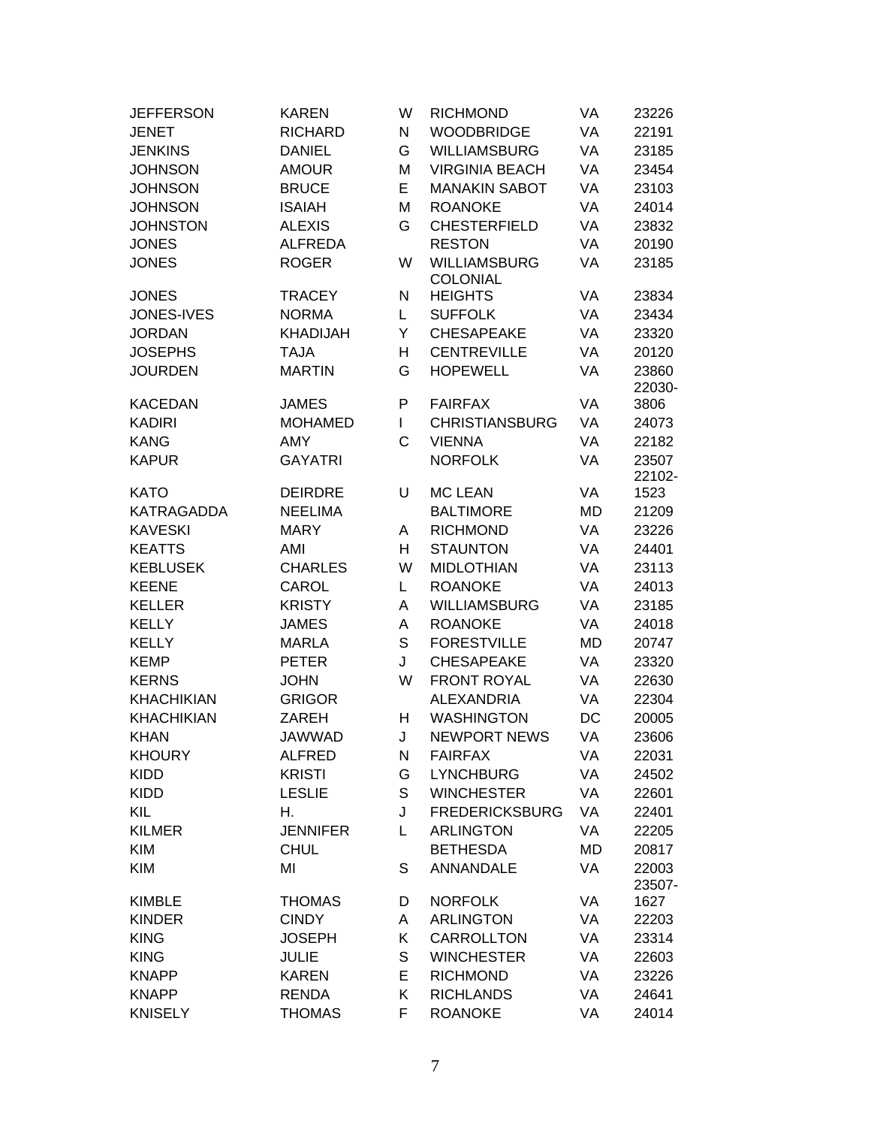| <b>JEFFERSON</b>  | <b>KAREN</b>    | W | <b>RICHMOND</b>       | VA        | 23226  |
|-------------------|-----------------|---|-----------------------|-----------|--------|
| <b>JENET</b>      | <b>RICHARD</b>  | N | <b>WOODBRIDGE</b>     | <b>VA</b> | 22191  |
| <b>JENKINS</b>    | <b>DANIEL</b>   | G | <b>WILLIAMSBURG</b>   | VA        | 23185  |
| <b>JOHNSON</b>    | <b>AMOUR</b>    | M | <b>VIRGINIA BEACH</b> | VA        | 23454  |
| <b>JOHNSON</b>    | <b>BRUCE</b>    | E | <b>MANAKIN SABOT</b>  | VA        | 23103  |
| <b>JOHNSON</b>    | <b>ISAIAH</b>   | M | <b>ROANOKE</b>        | VA        | 24014  |
| <b>JOHNSTON</b>   | <b>ALEXIS</b>   | G | <b>CHESTERFIELD</b>   | VA        | 23832  |
| <b>JONES</b>      | <b>ALFREDA</b>  |   | <b>RESTON</b>         | VA        | 20190  |
| <b>JONES</b>      | <b>ROGER</b>    | W | <b>WILLIAMSBURG</b>   | VA        | 23185  |
|                   |                 |   | <b>COLONIAL</b>       |           |        |
| <b>JONES</b>      | <b>TRACEY</b>   | N | <b>HEIGHTS</b>        | VA        | 23834  |
| JONES-IVES        | <b>NORMA</b>    | L | <b>SUFFOLK</b>        | VA        | 23434  |
| <b>JORDAN</b>     | <b>KHADIJAH</b> | Υ | <b>CHESAPEAKE</b>     | VA        | 23320  |
| <b>JOSEPHS</b>    | <b>TAJA</b>     | Н | <b>CENTREVILLE</b>    | VA        | 20120  |
| <b>JOURDEN</b>    | <b>MARTIN</b>   | G | <b>HOPEWELL</b>       | VA        | 23860  |
|                   |                 |   |                       |           | 22030- |
| <b>KACEDAN</b>    | <b>JAMES</b>    | P | <b>FAIRFAX</b>        | VA        | 3806   |
| <b>KADIRI</b>     | <b>MOHAMED</b>  | L | <b>CHRISTIANSBURG</b> | VA        | 24073  |
| <b>KANG</b>       | AMY             | C | <b>VIENNA</b>         | VA        | 22182  |
| <b>KAPUR</b>      | <b>GAYATRI</b>  |   | <b>NORFOLK</b>        | VA        | 23507  |
|                   |                 |   |                       |           | 22102- |
| <b>KATO</b>       | <b>DEIRDRE</b>  | U | <b>MC LEAN</b>        | VA        | 1523   |
| KATRAGADDA        | <b>NEELIMA</b>  |   | <b>BALTIMORE</b>      | MD        | 21209  |
| <b>KAVESKI</b>    | <b>MARY</b>     | Α | <b>RICHMOND</b>       | VA        | 23226  |
| <b>KEATTS</b>     | AMI             | H | <b>STAUNTON</b>       | VA        | 24401  |
| <b>KEBLUSEK</b>   | <b>CHARLES</b>  | W | <b>MIDLOTHIAN</b>     | VA        | 23113  |
| <b>KEENE</b>      | CAROL           | L | <b>ROANOKE</b>        | VA        | 24013  |
| <b>KELLER</b>     | <b>KRISTY</b>   | A | <b>WILLIAMSBURG</b>   | VA        | 23185  |
| <b>KELLY</b>      | <b>JAMES</b>    | Α | <b>ROANOKE</b>        | VA        | 24018  |
| <b>KELLY</b>      | <b>MARLA</b>    | S | <b>FORESTVILLE</b>    | MD        | 20747  |
| <b>KEMP</b>       | <b>PETER</b>    | J | <b>CHESAPEAKE</b>     | VA        | 23320  |
| <b>KERNS</b>      | <b>JOHN</b>     | W | <b>FRONT ROYAL</b>    | VA        | 22630  |
| <b>KHACHIKIAN</b> | <b>GRIGOR</b>   |   | <b>ALEXANDRIA</b>     | VA        | 22304  |
| <b>KHACHIKIAN</b> | <b>ZAREH</b>    | H | <b>WASHINGTON</b>     | DC        | 20005  |
| <b>KHAN</b>       | <b>JAWWAD</b>   | J | <b>NEWPORT NEWS</b>   | VA        | 23606  |
| <b>KHOURY</b>     | <b>ALFRED</b>   | Ν | <b>FAIRFAX</b>        | VA        | 22031  |
| <b>KIDD</b>       | <b>KRISTI</b>   | G | <b>LYNCHBURG</b>      | VA        | 24502  |
| <b>KIDD</b>       | <b>LESLIE</b>   | S | <b>WINCHESTER</b>     | VA        | 22601  |
| KIL               | Η.              | J | <b>FREDERICKSBURG</b> | VA        | 22401  |
| <b>KILMER</b>     | <b>JENNIFER</b> | L | <b>ARLINGTON</b>      | VA        | 22205  |
| <b>KIM</b>        | <b>CHUL</b>     |   | <b>BETHESDA</b>       | MD        | 20817  |
| <b>KIM</b>        | MI              | S | ANNANDALE             | VA        | 22003  |
|                   |                 |   |                       |           | 23507- |
| <b>KIMBLE</b>     | <b>THOMAS</b>   | D | <b>NORFOLK</b>        | VA        | 1627   |
| <b>KINDER</b>     | <b>CINDY</b>    | A | <b>ARLINGTON</b>      | VA        | 22203  |
| <b>KING</b>       | <b>JOSEPH</b>   | Κ | CARROLLTON            | VA        | 23314  |
| <b>KING</b>       | <b>JULIE</b>    | S | <b>WINCHESTER</b>     | VA        | 22603  |
| <b>KNAPP</b>      | <b>KAREN</b>    | E | <b>RICHMOND</b>       | VA        | 23226  |
| <b>KNAPP</b>      | <b>RENDA</b>    | Κ | <b>RICHLANDS</b>      | VA        | 24641  |
| <b>KNISELY</b>    | <b>THOMAS</b>   | F | <b>ROANOKE</b>        | VA        | 24014  |
|                   |                 |   |                       |           |        |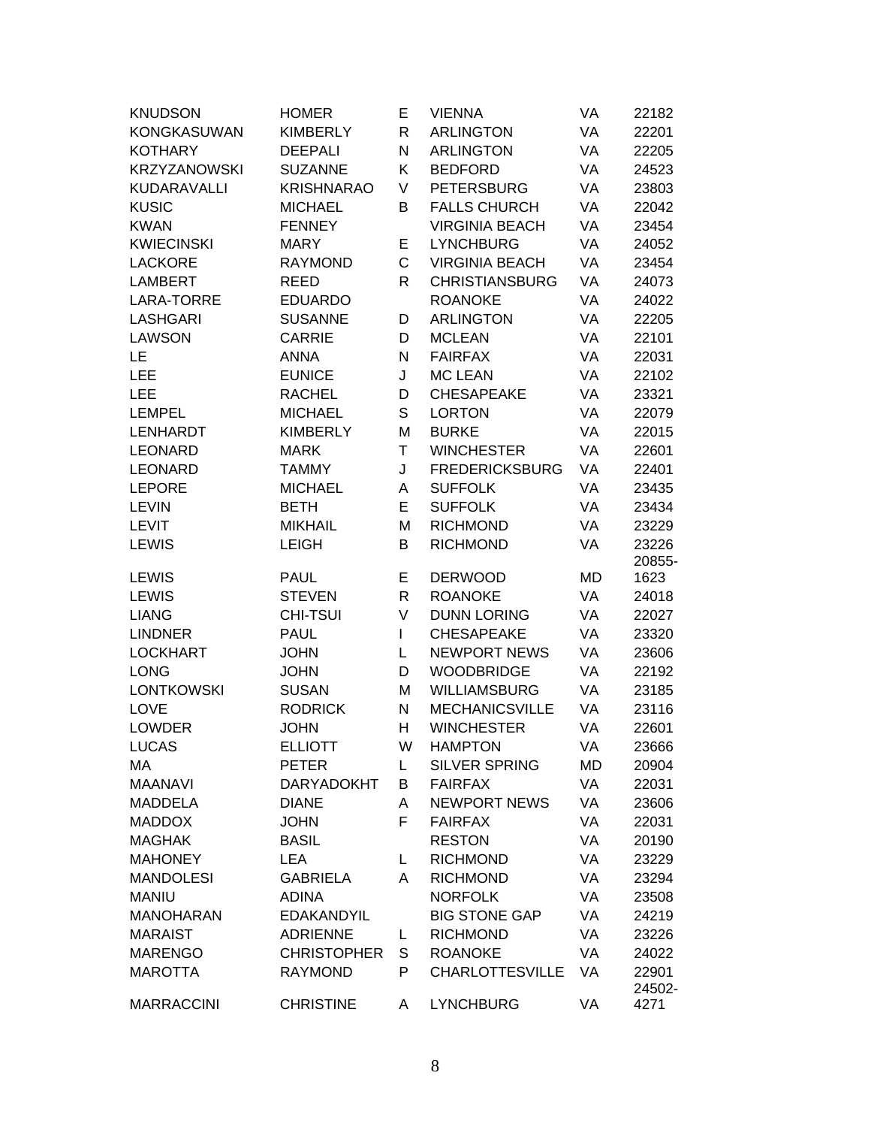| <b>KNUDSON</b>                   | <b>HOMER</b>                    | E  | <b>VIENNA</b>                          | VA | 22182          |
|----------------------------------|---------------------------------|----|----------------------------------------|----|----------------|
| <b>KONGKASUWAN</b>               | <b>KIMBERLY</b>                 | R  | <b>ARLINGTON</b>                       | VA | 22201          |
| <b>KOTHARY</b>                   | <b>DEEPALI</b>                  | N  | <b>ARLINGTON</b>                       | VA | 22205          |
| <b>KRZYZANOWSKI</b>              | <b>SUZANNE</b>                  | K  | <b>BEDFORD</b>                         | VA | 24523          |
| KUDARAVALLI                      | <b>KRISHNARAO</b>               | V  | <b>PETERSBURG</b>                      | VA | 23803          |
| <b>KUSIC</b>                     | <b>MICHAEL</b>                  | В  | <b>FALLS CHURCH</b>                    | VA | 22042          |
| <b>KWAN</b>                      | <b>FENNEY</b>                   |    | <b>VIRGINIA BEACH</b>                  | VA | 23454          |
| <b>KWIECINSKI</b>                | <b>MARY</b>                     | E  | <b>LYNCHBURG</b>                       | VA | 24052          |
| <b>LACKORE</b>                   | <b>RAYMOND</b>                  | C  | <b>VIRGINIA BEACH</b>                  | VA | 23454          |
| <b>LAMBERT</b>                   | <b>REED</b>                     | R  | <b>CHRISTIANSBURG</b>                  | VA | 24073          |
| LARA-TORRE                       | <b>EDUARDO</b>                  |    | <b>ROANOKE</b>                         | VA | 24022          |
| <b>LASHGARI</b>                  | <b>SUSANNE</b>                  | D  | <b>ARLINGTON</b>                       | VA | 22205          |
| <b>LAWSON</b>                    | <b>CARRIE</b>                   | D  | <b>MCLEAN</b>                          | VA | 22101          |
| LE                               | <b>ANNA</b>                     | N  | <b>FAIRFAX</b>                         | VA | 22031          |
| LEE                              | <b>EUNICE</b>                   | J  | <b>MC LEAN</b>                         | VA | 22102          |
| <b>LEE</b>                       | <b>RACHEL</b>                   | D  | <b>CHESAPEAKE</b>                      | VA | 23321          |
| <b>LEMPEL</b>                    | <b>MICHAEL</b>                  | S  | <b>LORTON</b>                          | VA | 22079          |
| <b>LENHARDT</b>                  | <b>KIMBERLY</b>                 | M  | <b>BURKE</b>                           | VA | 22015          |
| <b>LEONARD</b>                   | <b>MARK</b>                     | T  | <b>WINCHESTER</b>                      | VA | 22601          |
| <b>LEONARD</b>                   | <b>TAMMY</b>                    | J  | <b>FREDERICKSBURG</b>                  | VA | 22401          |
| <b>LEPORE</b>                    | <b>MICHAEL</b>                  | A  | <b>SUFFOLK</b>                         | VA | 23435          |
| <b>LEVIN</b>                     | <b>BETH</b>                     | E  | <b>SUFFOLK</b>                         | VA | 23434          |
| <b>LEVIT</b>                     | <b>MIKHAIL</b>                  | M  | <b>RICHMOND</b>                        | VA | 23229          |
| <b>LEWIS</b>                     | <b>LEIGH</b>                    | В  | <b>RICHMOND</b>                        | VA | 23226          |
|                                  |                                 |    |                                        |    |                |
|                                  |                                 |    |                                        |    |                |
| <b>LEWIS</b>                     | <b>PAUL</b>                     | E  | <b>DERWOOD</b>                         | MD | 20855-<br>1623 |
| <b>LEWIS</b>                     | <b>STEVEN</b>                   | R  | <b>ROANOKE</b>                         | VA | 24018          |
| <b>LIANG</b>                     | <b>CHI-TSUI</b>                 | V  | <b>DUNN LORING</b>                     | VA | 22027          |
| <b>LINDNER</b>                   | <b>PAUL</b>                     | L  | <b>CHESAPEAKE</b>                      | VA | 23320          |
| <b>LOCKHART</b>                  | <b>JOHN</b>                     | L  | <b>NEWPORT NEWS</b>                    | VA | 23606          |
| <b>LONG</b>                      | <b>JOHN</b>                     | D  | <b>WOODBRIDGE</b>                      | VA | 22192          |
| <b>LONTKOWSKI</b>                | <b>SUSAN</b>                    | M  | <b>WILLIAMSBURG</b>                    | VA | 23185          |
| <b>LOVE</b>                      | <b>RODRICK</b>                  | N  | <b>MECHANICSVILLE</b>                  | VA | 23116          |
| <b>LOWDER</b>                    | <b>JOHN</b>                     | Η  | <b>WINCHESTER</b>                      | VA | 22601          |
| <b>LUCAS</b>                     | <b>ELLIOTT</b>                  | W  | <b>HAMPTON</b>                         | VA | 23666          |
| МA                               | <b>PETER</b>                    | L. | <b>SILVER SPRING</b>                   | MD | 20904          |
| <b>MAANAVI</b>                   | <b>DARYADOKHT</b>               | B  | <b>FAIRFAX</b>                         | VA | 22031          |
| <b>MADDELA</b>                   | <b>DIANE</b>                    | A  | <b>NEWPORT NEWS</b>                    | VA | 23606          |
| <b>MADDOX</b>                    | <b>JOHN</b>                     | F  | <b>FAIRFAX</b>                         | VA | 22031          |
| <b>MAGHAK</b>                    | <b>BASIL</b>                    |    | <b>RESTON</b>                          | VA | 20190          |
| <b>MAHONEY</b>                   | <b>LEA</b>                      | L. |                                        | VA | 23229          |
| <b>MANDOLESI</b>                 |                                 | A  | <b>RICHMOND</b><br><b>RICHMOND</b>     | VA |                |
|                                  | <b>GABRIELA</b><br><b>ADINA</b> |    |                                        | VA | 23294          |
| <b>MANIU</b><br><b>MANOHARAN</b> | <b>EDAKANDYIL</b>               |    | <b>NORFOLK</b><br><b>BIG STONE GAP</b> | VA | 23508          |
| <b>MARAIST</b>                   | <b>ADRIENNE</b>                 | L. | <b>RICHMOND</b>                        | VA | 24219<br>23226 |
| <b>MARENGO</b>                   | <b>CHRISTOPHER</b>              | S  | <b>ROANOKE</b>                         | VA | 24022          |
| <b>MAROTTA</b>                   | <b>RAYMOND</b>                  | P  | <b>CHARLOTTESVILLE</b>                 | VA | 22901          |
| <b>MARRACCINI</b>                | <b>CHRISTINE</b>                |    | <b>LYNCHBURG</b>                       |    | 24502-         |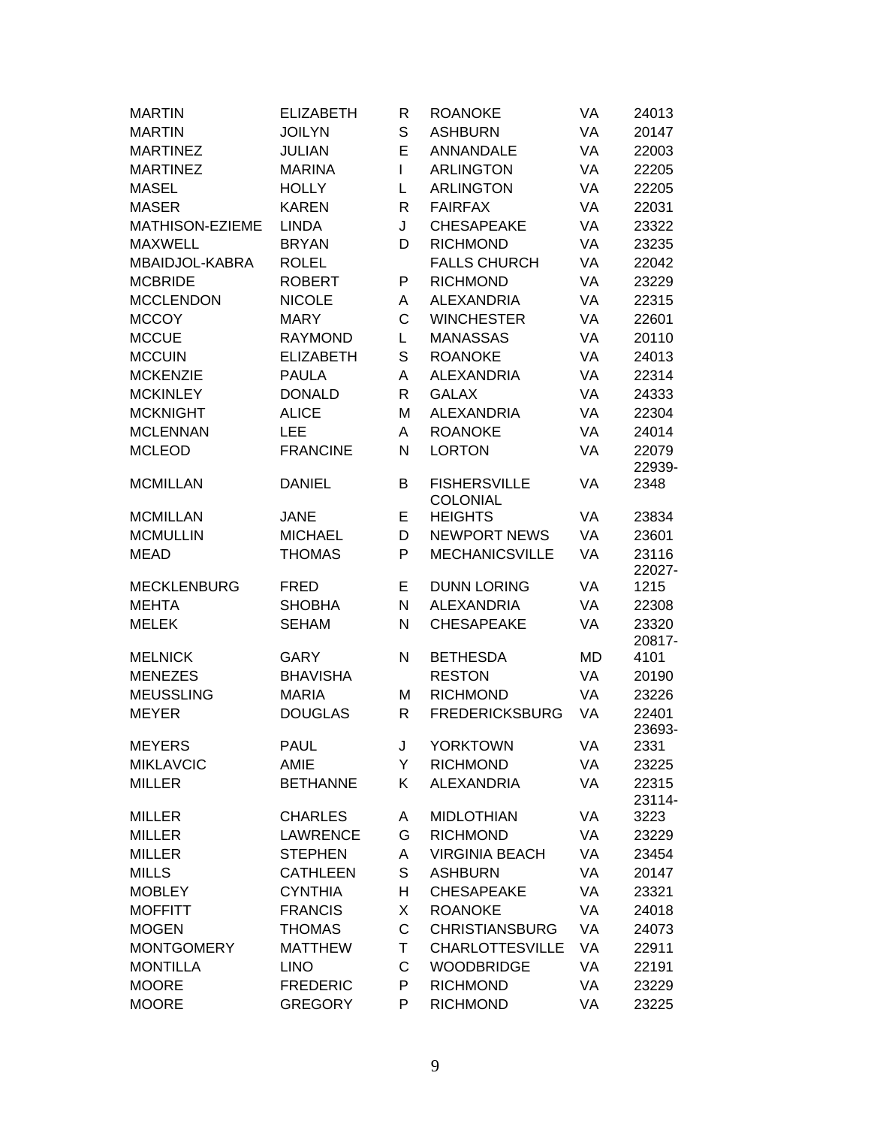| <b>MARTIN</b>      | <b>ELIZABETH</b> | R            | <b>ROANOKE</b>         | VA | 24013           |
|--------------------|------------------|--------------|------------------------|----|-----------------|
| <b>MARTIN</b>      | <b>JOILYN</b>    | S            | <b>ASHBURN</b>         | VA | 20147           |
| <b>MARTINEZ</b>    | <b>JULIAN</b>    | E            | ANNANDALE              | VA | 22003           |
| <b>MARTINEZ</b>    | <b>MARINA</b>    | L            | <b>ARLINGTON</b>       | VA | 22205           |
| <b>MASEL</b>       | <b>HOLLY</b>     | L            | <b>ARLINGTON</b>       | VA | 22205           |
| <b>MASER</b>       | <b>KAREN</b>     | $\mathsf{R}$ | <b>FAIRFAX</b>         | VA | 22031           |
| MATHISON-EZIEME    | <b>LINDA</b>     | J            | <b>CHESAPEAKE</b>      | VA | 23322           |
| <b>MAXWELL</b>     | <b>BRYAN</b>     | D            | <b>RICHMOND</b>        | VA | 23235           |
| MBAIDJOL-KABRA     | <b>ROLEL</b>     |              | <b>FALLS CHURCH</b>    | VA | 22042           |
| <b>MCBRIDE</b>     | <b>ROBERT</b>    | P            | <b>RICHMOND</b>        | VA | 23229           |
| <b>MCCLENDON</b>   | <b>NICOLE</b>    | A            | <b>ALEXANDRIA</b>      | VA | 22315           |
| <b>MCCOY</b>       | <b>MARY</b>      | C            | <b>WINCHESTER</b>      | VA | 22601           |
| <b>MCCUE</b>       | <b>RAYMOND</b>   | L            | <b>MANASSAS</b>        | VA | 20110           |
| <b>MCCUIN</b>      | <b>ELIZABETH</b> | S            | <b>ROANOKE</b>         | VA | 24013           |
| <b>MCKENZIE</b>    | <b>PAULA</b>     | A            | <b>ALEXANDRIA</b>      | VA | 22314           |
| <b>MCKINLEY</b>    | <b>DONALD</b>    | $\mathsf{R}$ | <b>GALAX</b>           | VA | 24333           |
| <b>MCKNIGHT</b>    | <b>ALICE</b>     | M            | <b>ALEXANDRIA</b>      | VA | 22304           |
| <b>MCLENNAN</b>    | LEE              | Α            | <b>ROANOKE</b>         | VA | 24014           |
| <b>MCLEOD</b>      | <b>FRANCINE</b>  | N            | <b>LORTON</b>          | VA | 22079           |
|                    |                  |              |                        |    | 22939-          |
| <b>MCMILLAN</b>    | <b>DANIEL</b>    | В            | <b>FISHERSVILLE</b>    | VA | 2348            |
|                    |                  |              | <b>COLONIAL</b>        |    |                 |
| <b>MCMILLAN</b>    | <b>JANE</b>      | E            | <b>HEIGHTS</b>         | VA | 23834           |
| <b>MCMULLIN</b>    | <b>MICHAEL</b>   | D            | <b>NEWPORT NEWS</b>    | VA | 23601           |
| <b>MEAD</b>        | <b>THOMAS</b>    | P            | <b>MECHANICSVILLE</b>  | VA | 23116<br>22027- |
| <b>MECKLENBURG</b> | <b>FRED</b>      | Е            | <b>DUNN LORING</b>     | VA | 1215            |
| <b>MEHTA</b>       | <b>SHOBHA</b>    | N            | <b>ALEXANDRIA</b>      | VA | 22308           |
| <b>MELEK</b>       | <b>SEHAM</b>     | N            | <b>CHESAPEAKE</b>      | VA | 23320<br>20817- |
| <b>MELNICK</b>     | GARY             | N            | <b>BETHESDA</b>        | MD | 4101            |
| <b>MENEZES</b>     | <b>BHAVISHA</b>  |              | <b>RESTON</b>          | VA | 20190           |
| <b>MEUSSLING</b>   | <b>MARIA</b>     | M            | <b>RICHMOND</b>        | VA | 23226           |
| <b>MEYER</b>       | <b>DOUGLAS</b>   | R            | <b>FREDERICKSBURG</b>  | VA | 22401           |
|                    |                  |              |                        |    | 23693-          |
| <b>MEYERS</b>      | <b>PAUL</b>      | J            | <b>YORKTOWN</b>        | VA | 2331            |
| <b>MIKLAVCIC</b>   | <b>AMIE</b>      | Y            | <b>RICHMOND</b>        | VA | 23225           |
| <b>MILLER</b>      | <b>BETHANNE</b>  | Κ            | <b>ALEXANDRIA</b>      | VA | 22315<br>23114- |
| <b>MILLER</b>      | <b>CHARLES</b>   | A            | <b>MIDLOTHIAN</b>      | VA | 3223            |
| <b>MILLER</b>      | <b>LAWRENCE</b>  | G            | <b>RICHMOND</b>        | VA | 23229           |
| <b>MILLER</b>      | <b>STEPHEN</b>   | Α            | <b>VIRGINIA BEACH</b>  | VA | 23454           |
| <b>MILLS</b>       | <b>CATHLEEN</b>  | S            | <b>ASHBURN</b>         | VA | 20147           |
| <b>MOBLEY</b>      | <b>CYNTHIA</b>   | н            | <b>CHESAPEAKE</b>      | VA | 23321           |
| <b>MOFFITT</b>     | <b>FRANCIS</b>   | X            | <b>ROANOKE</b>         | VA | 24018           |
| <b>MOGEN</b>       | <b>THOMAS</b>    | C            | <b>CHRISTIANSBURG</b>  | VA | 24073           |
| <b>MONTGOMERY</b>  | <b>MATTHEW</b>   | T            | <b>CHARLOTTESVILLE</b> | VA | 22911           |
| <b>MONTILLA</b>    | <b>LINO</b>      | $\mathsf{C}$ | <b>WOODBRIDGE</b>      | VA | 22191           |
| <b>MOORE</b>       | <b>FREDERIC</b>  | P            | <b>RICHMOND</b>        | VA | 23229           |
| <b>MOORE</b>       | <b>GREGORY</b>   | P            | <b>RICHMOND</b>        | VA | 23225           |
|                    |                  |              |                        |    |                 |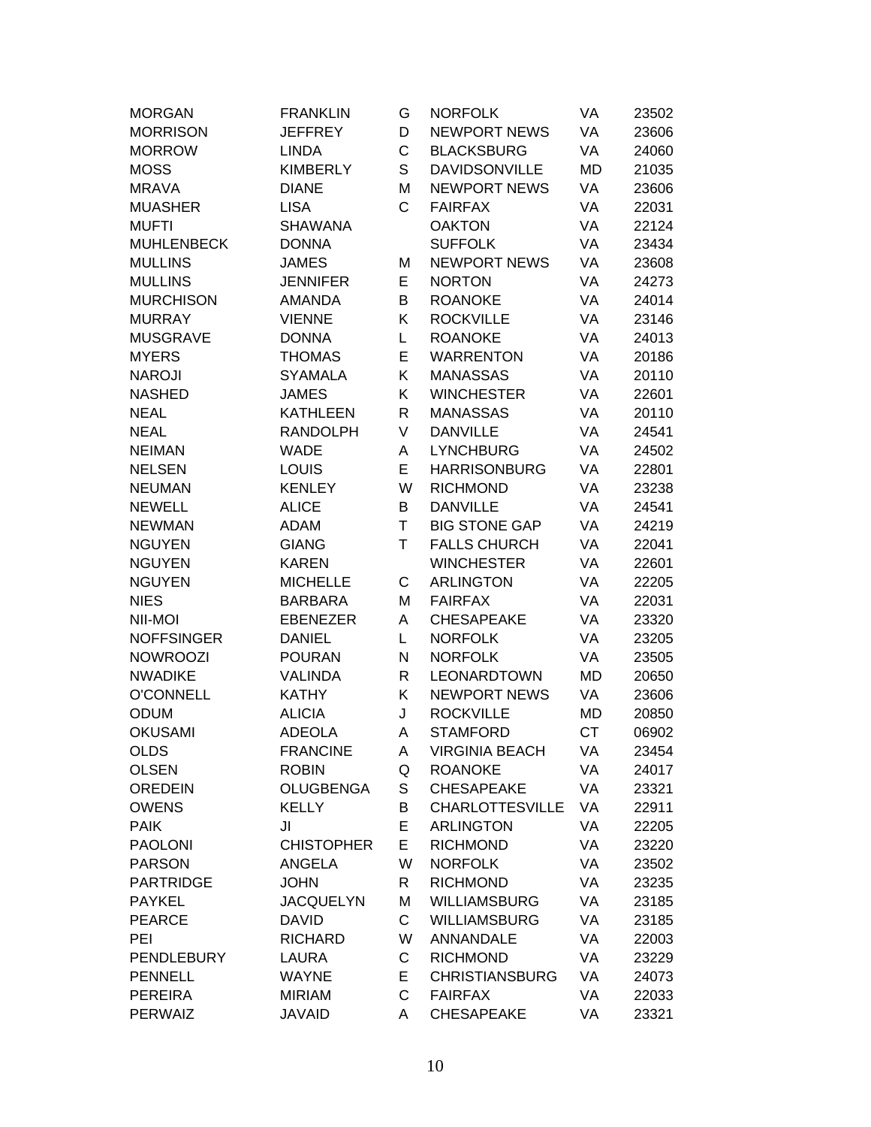| <b>MORGAN</b>     | <b>FRANKLIN</b>   | G            | <b>NORFOLK</b>         | VA        | 23502 |
|-------------------|-------------------|--------------|------------------------|-----------|-------|
| <b>MORRISON</b>   | <b>JEFFREY</b>    | D            | <b>NEWPORT NEWS</b>    | VA        | 23606 |
| <b>MORROW</b>     | <b>LINDA</b>      | C            | <b>BLACKSBURG</b>      | VA        | 24060 |
| <b>MOSS</b>       | <b>KIMBERLY</b>   | S            | <b>DAVIDSONVILLE</b>   | MD        | 21035 |
| <b>MRAVA</b>      | <b>DIANE</b>      | M            | <b>NEWPORT NEWS</b>    | VA        | 23606 |
| <b>MUASHER</b>    | <b>LISA</b>       | $\mathsf{C}$ | <b>FAIRFAX</b>         | VA        | 22031 |
| <b>MUFTI</b>      | <b>SHAWANA</b>    |              | <b>OAKTON</b>          | VA        | 22124 |
| <b>MUHLENBECK</b> | <b>DONNA</b>      |              | <b>SUFFOLK</b>         | VA        | 23434 |
| <b>MULLINS</b>    | <b>JAMES</b>      | M            | <b>NEWPORT NEWS</b>    | VA        | 23608 |
| <b>MULLINS</b>    | <b>JENNIFER</b>   | E            | <b>NORTON</b>          | VA        | 24273 |
| <b>MURCHISON</b>  | <b>AMANDA</b>     | B            | <b>ROANOKE</b>         | VA        | 24014 |
| <b>MURRAY</b>     | <b>VIENNE</b>     | Κ            | <b>ROCKVILLE</b>       | VA        | 23146 |
| <b>MUSGRAVE</b>   | <b>DONNA</b>      | L            | <b>ROANOKE</b>         | VA        | 24013 |
| <b>MYERS</b>      | <b>THOMAS</b>     | E            | <b>WARRENTON</b>       | VA        | 20186 |
| <b>NAROJI</b>     | <b>SYAMALA</b>    | Κ            | <b>MANASSAS</b>        | VA        | 20110 |
| <b>NASHED</b>     | <b>JAMES</b>      | Κ            | <b>WINCHESTER</b>      | VA        | 22601 |
| <b>NEAL</b>       | <b>KATHLEEN</b>   | R            | <b>MANASSAS</b>        | VA        | 20110 |
| <b>NEAL</b>       | <b>RANDOLPH</b>   | V            | <b>DANVILLE</b>        | VA        | 24541 |
| <b>NEIMAN</b>     | <b>WADE</b>       | Α            | <b>LYNCHBURG</b>       | VA        | 24502 |
| <b>NELSEN</b>     | LOUIS             | E            | <b>HARRISONBURG</b>    | VA        | 22801 |
| <b>NEUMAN</b>     | <b>KENLEY</b>     | W            | <b>RICHMOND</b>        | VA        | 23238 |
| <b>NEWELL</b>     | <b>ALICE</b>      | B            | <b>DANVILLE</b>        | VA        | 24541 |
| <b>NEWMAN</b>     | <b>ADAM</b>       | T            | <b>BIG STONE GAP</b>   | VA        | 24219 |
| <b>NGUYEN</b>     | <b>GIANG</b>      | T            | <b>FALLS CHURCH</b>    | VA        | 22041 |
| <b>NGUYEN</b>     | <b>KAREN</b>      |              | <b>WINCHESTER</b>      | VA        | 22601 |
| <b>NGUYEN</b>     | <b>MICHELLE</b>   | С            | <b>ARLINGTON</b>       | VA        | 22205 |
| <b>NIES</b>       | <b>BARBARA</b>    | M            | <b>FAIRFAX</b>         | VA        | 22031 |
| NII-MOI           | <b>EBENEZER</b>   | Α            | <b>CHESAPEAKE</b>      | VA        | 23320 |
| <b>NOFFSINGER</b> | <b>DANIEL</b>     | L            | <b>NORFOLK</b>         | VA        | 23205 |
| <b>NOWROOZI</b>   | <b>POURAN</b>     | N            | <b>NORFOLK</b>         | VA        | 23505 |
| <b>NWADIKE</b>    | VALINDA           | R            | LEONARDTOWN            | MD        | 20650 |
| <b>O'CONNELL</b>  | <b>KATHY</b>      | Κ            | <b>NEWPORT NEWS</b>    | VA        | 23606 |
| <b>ODUM</b>       | <b>ALICIA</b>     | J            | <b>ROCKVILLE</b>       | MD        | 20850 |
| <b>OKUSAMI</b>    | <b>ADEOLA</b>     | Α            | <b>STAMFORD</b>        | <b>CT</b> | 06902 |
| <b>OLDS</b>       | <b>FRANCINE</b>   | A            | <b>VIRGINIA BEACH</b>  | VA        | 23454 |
| <b>OLSEN</b>      | <b>ROBIN</b>      | Q            | <b>ROANOKE</b>         | VA        | 24017 |
| <b>OREDEIN</b>    | <b>OLUGBENGA</b>  | S            | <b>CHESAPEAKE</b>      | VA        | 23321 |
| <b>OWENS</b>      | <b>KELLY</b>      | В            | <b>CHARLOTTESVILLE</b> | VA        | 22911 |
| <b>PAIK</b>       | JI                | E            | <b>ARLINGTON</b>       | VA        | 22205 |
| <b>PAOLONI</b>    | <b>CHISTOPHER</b> | E            | <b>RICHMOND</b>        | VA        | 23220 |
| <b>PARSON</b>     | <b>ANGELA</b>     | W            | <b>NORFOLK</b>         | VA        | 23502 |
| <b>PARTRIDGE</b>  | <b>JOHN</b>       | R            | <b>RICHMOND</b>        | VA        | 23235 |
| <b>PAYKEL</b>     | <b>JACQUELYN</b>  | M            | <b>WILLIAMSBURG</b>    | VA        | 23185 |
| <b>PEARCE</b>     | <b>DAVID</b>      | C            | <b>WILLIAMSBURG</b>    | VA        | 23185 |
| PEI               | <b>RICHARD</b>    | W            | ANNANDALE              | VA        | 22003 |
| <b>PENDLEBURY</b> | LAURA             | C            | <b>RICHMOND</b>        | VA        | 23229 |
| <b>PENNELL</b>    | <b>WAYNE</b>      | E            | <b>CHRISTIANSBURG</b>  | VA        | 24073 |
| <b>PEREIRA</b>    | <b>MIRIAM</b>     | C            | <b>FAIRFAX</b>         | VA        | 22033 |
| <b>PERWAIZ</b>    | <b>JAVAID</b>     | A            | CHESAPEAKE             | VA        | 23321 |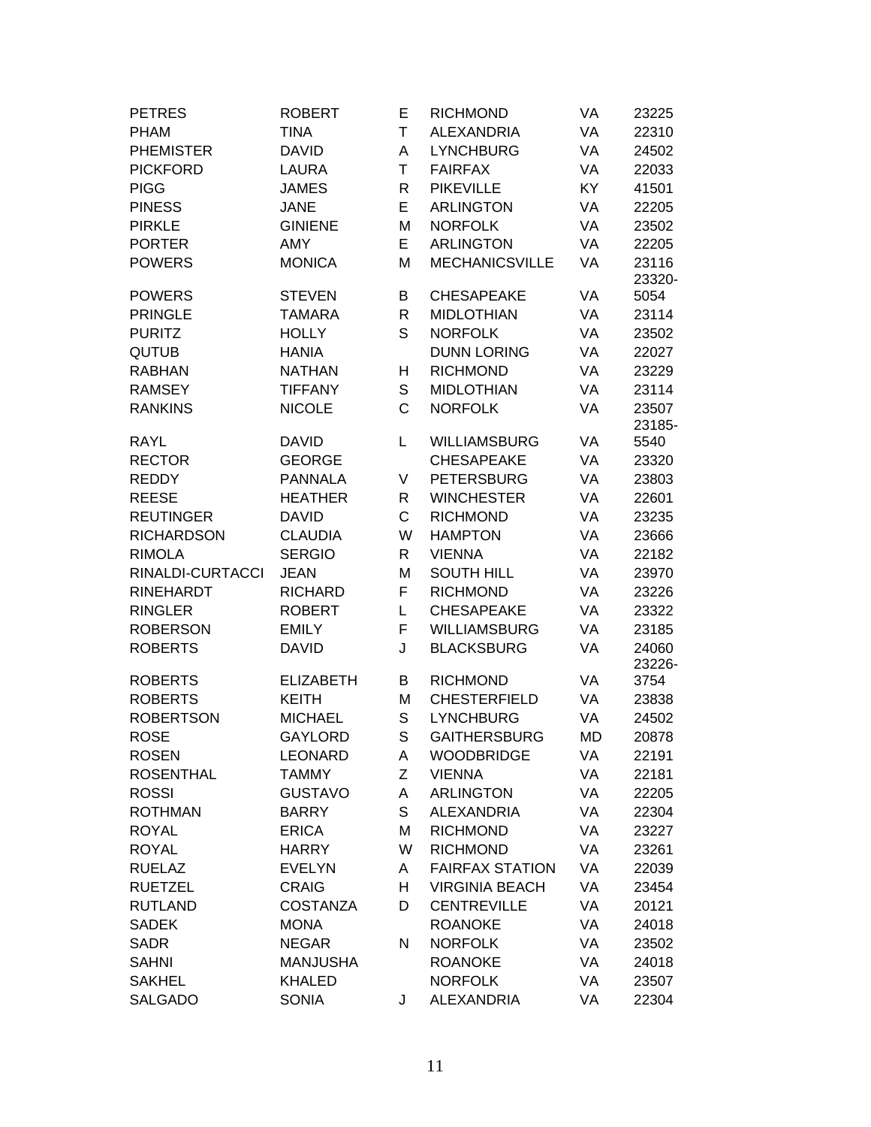| <b>PETRES</b>     | <b>ROBERT</b>    | Е            | <b>RICHMOND</b>        | VA        | 23225           |
|-------------------|------------------|--------------|------------------------|-----------|-----------------|
| <b>PHAM</b>       | <b>TINA</b>      | Τ            | <b>ALEXANDRIA</b>      | VA        | 22310           |
| <b>PHEMISTER</b>  | <b>DAVID</b>     | Α            | <b>LYNCHBURG</b>       | VA        | 24502           |
| <b>PICKFORD</b>   | <b>LAURA</b>     | T            | <b>FAIRFAX</b>         | VA        | 22033           |
| <b>PIGG</b>       | <b>JAMES</b>     | R            | <b>PIKEVILLE</b>       | KY        | 41501           |
| <b>PINESS</b>     | <b>JANE</b>      | E            | <b>ARLINGTON</b>       | VA        | 22205           |
| <b>PIRKLE</b>     | <b>GINIENE</b>   | M            | <b>NORFOLK</b>         | VA        | 23502           |
| <b>PORTER</b>     | <b>AMY</b>       | E            | <b>ARLINGTON</b>       | VA        | 22205           |
| <b>POWERS</b>     | <b>MONICA</b>    | M            | <b>MECHANICSVILLE</b>  | VA        | 23116<br>23320- |
| <b>POWERS</b>     | <b>STEVEN</b>    | B            | <b>CHESAPEAKE</b>      | VA        | 5054            |
| <b>PRINGLE</b>    | TAMARA           | R            | <b>MIDLOTHIAN</b>      | VA        | 23114           |
| <b>PURITZ</b>     | <b>HOLLY</b>     | S            | <b>NORFOLK</b>         | VA        | 23502           |
| <b>QUTUB</b>      | <b>HANIA</b>     |              | <b>DUNN LORING</b>     | VA        | 22027           |
| <b>RABHAN</b>     | <b>NATHAN</b>    | н            | <b>RICHMOND</b>        | VA        | 23229           |
| <b>RAMSEY</b>     | <b>TIFFANY</b>   | S            | <b>MIDLOTHIAN</b>      | VA        | 23114           |
| <b>RANKINS</b>    | <b>NICOLE</b>    | $\mathsf{C}$ | <b>NORFOLK</b>         | VA        | 23507           |
|                   |                  |              |                        |           | 23185-          |
| <b>RAYL</b>       | <b>DAVID</b>     | L            | <b>WILLIAMSBURG</b>    | VA        | 5540            |
| <b>RECTOR</b>     | <b>GEORGE</b>    |              | <b>CHESAPEAKE</b>      | VA        | 23320           |
| <b>REDDY</b>      | <b>PANNALA</b>   | V            | <b>PETERSBURG</b>      | VA        | 23803           |
| <b>REESE</b>      | <b>HEATHER</b>   | R            | <b>WINCHESTER</b>      | VA        | 22601           |
| <b>REUTINGER</b>  | <b>DAVID</b>     | C            | <b>RICHMOND</b>        | VA        | 23235           |
| <b>RICHARDSON</b> | <b>CLAUDIA</b>   | W            | <b>HAMPTON</b>         | VA        | 23666           |
| <b>RIMOLA</b>     | <b>SERGIO</b>    | R            | <b>VIENNA</b>          | VA        | 22182           |
| RINALDI-CURTACCI  | <b>JEAN</b>      | M            | <b>SOUTH HILL</b>      | VA        | 23970           |
| <b>RINEHARDT</b>  | <b>RICHARD</b>   | F            | <b>RICHMOND</b>        | VA        | 23226           |
| <b>RINGLER</b>    | <b>ROBERT</b>    | L            | <b>CHESAPEAKE</b>      | VA        | 23322           |
| <b>ROBERSON</b>   | <b>EMILY</b>     | F            | <b>WILLIAMSBURG</b>    | VA        | 23185           |
| <b>ROBERTS</b>    | <b>DAVID</b>     | J            | <b>BLACKSBURG</b>      | VA        | 24060<br>23226- |
| <b>ROBERTS</b>    | <b>ELIZABETH</b> | В            | <b>RICHMOND</b>        | VA        | 3754            |
| <b>ROBERTS</b>    | <b>KEITH</b>     | M            | <b>CHESTERFIELD</b>    | VA        | 23838           |
| <b>ROBERTSON</b>  | <b>MICHAEL</b>   | S            | <b>LYNCHBURG</b>       | VA        | 24502           |
| <b>ROSE</b>       | <b>GAYLORD</b>   | S            | <b>GAITHERSBURG</b>    | <b>MD</b> | 20878           |
| <b>ROSEN</b>      | <b>LEONARD</b>   | A            | <b>WOODBRIDGE</b>      | VA        | 22191           |
| <b>ROSENTHAL</b>  | <b>TAMMY</b>     | Z            | <b>VIENNA</b>          | VA        | 22181           |
| <b>ROSSI</b>      | <b>GUSTAVO</b>   | Α            | <b>ARLINGTON</b>       | VA        | 22205           |
| <b>ROTHMAN</b>    | <b>BARRY</b>     | S            | <b>ALEXANDRIA</b>      | VA        | 22304           |
| <b>ROYAL</b>      | <b>ERICA</b>     | М            | <b>RICHMOND</b>        | VA        | 23227           |
| <b>ROYAL</b>      | <b>HARRY</b>     | W            | <b>RICHMOND</b>        | VA        | 23261           |
| <b>RUELAZ</b>     | <b>EVELYN</b>    | A            | <b>FAIRFAX STATION</b> | VA        | 22039           |
| <b>RUETZEL</b>    | <b>CRAIG</b>     | H            | <b>VIRGINIA BEACH</b>  | VA        | 23454           |
| <b>RUTLAND</b>    | <b>COSTANZA</b>  | D            | <b>CENTREVILLE</b>     | VA        | 20121           |
| <b>SADEK</b>      | <b>MONA</b>      |              | <b>ROANOKE</b>         | VA        | 24018           |
| <b>SADR</b>       | <b>NEGAR</b>     | N            | <b>NORFOLK</b>         | VA        | 23502           |
| <b>SAHNI</b>      | <b>MANJUSHA</b>  |              | <b>ROANOKE</b>         | VA        | 24018           |
| <b>SAKHEL</b>     | <b>KHALED</b>    |              | <b>NORFOLK</b>         | VA        | 23507           |
| <b>SALGADO</b>    | <b>SONIA</b>     | J            | <b>ALEXANDRIA</b>      | VA        | 22304           |
|                   |                  |              |                        |           |                 |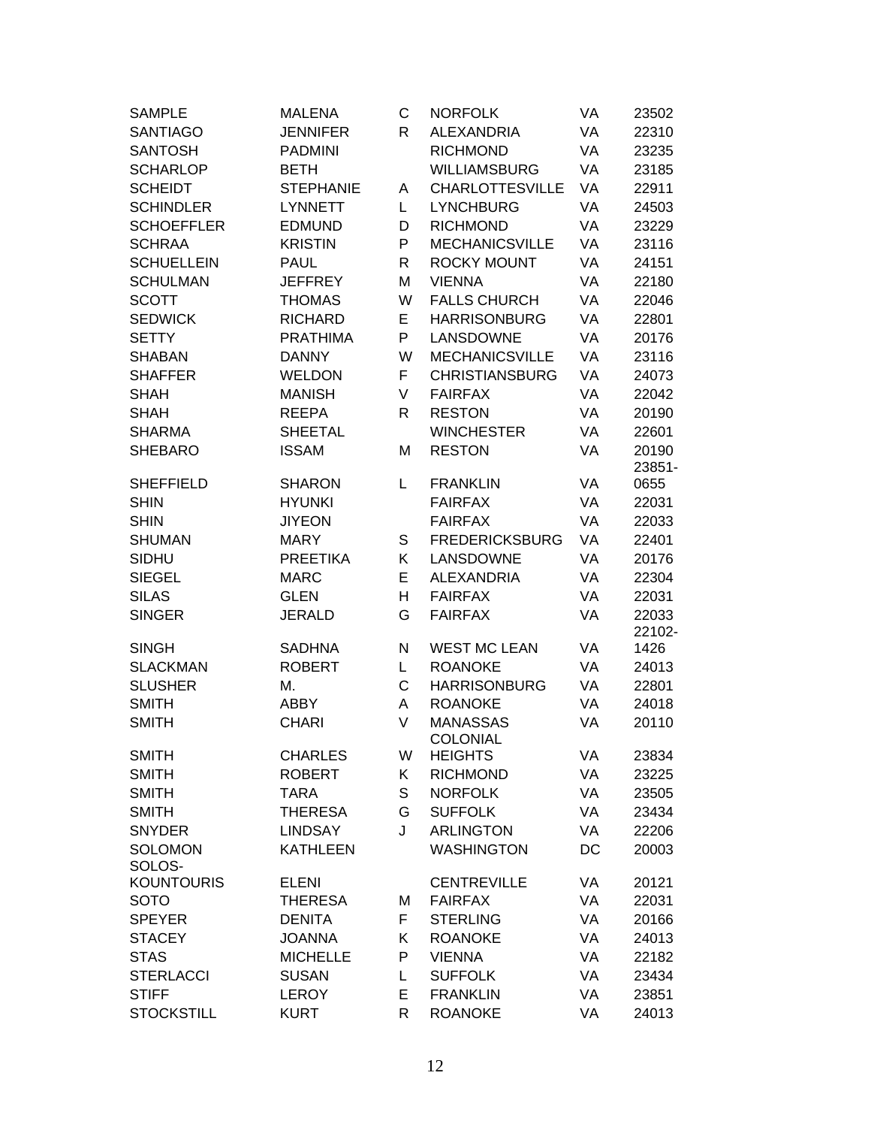| <b>SAMPLE</b>     | <b>MALENA</b>    | С            | <b>NORFOLK</b>         | VA | 23502  |
|-------------------|------------------|--------------|------------------------|----|--------|
| <b>SANTIAGO</b>   | <b>JENNIFER</b>  | $\mathsf{R}$ | <b>ALEXANDRIA</b>      | VA | 22310  |
| <b>SANTOSH</b>    | <b>PADMINI</b>   |              | <b>RICHMOND</b>        | VA | 23235  |
| <b>SCHARLOP</b>   | <b>BETH</b>      |              | <b>WILLIAMSBURG</b>    | VA | 23185  |
| <b>SCHEIDT</b>    | <b>STEPHANIE</b> | A            | <b>CHARLOTTESVILLE</b> | VA | 22911  |
| <b>SCHINDLER</b>  | <b>LYNNETT</b>   | L.           | <b>LYNCHBURG</b>       | VA | 24503  |
| <b>SCHOEFFLER</b> | <b>EDMUND</b>    | D            | <b>RICHMOND</b>        | VA | 23229  |
| <b>SCHRAA</b>     | <b>KRISTIN</b>   | P            | <b>MECHANICSVILLE</b>  | VA | 23116  |
| <b>SCHUELLEIN</b> | <b>PAUL</b>      | R            | ROCKY MOUNT            | VA | 24151  |
| <b>SCHULMAN</b>   | <b>JEFFREY</b>   | M            | <b>VIENNA</b>          | VA | 22180  |
| <b>SCOTT</b>      | <b>THOMAS</b>    | W            | <b>FALLS CHURCH</b>    | VA | 22046  |
| <b>SEDWICK</b>    | <b>RICHARD</b>   | E            | <b>HARRISONBURG</b>    | VA | 22801  |
| <b>SETTY</b>      | <b>PRATHIMA</b>  | P            | LANSDOWNE              | VA | 20176  |
| <b>SHABAN</b>     | <b>DANNY</b>     | W            | <b>MECHANICSVILLE</b>  | VA | 23116  |
| <b>SHAFFER</b>    | <b>WELDON</b>    | F.           | <b>CHRISTIANSBURG</b>  | VA | 24073  |
| <b>SHAH</b>       | <b>MANISH</b>    | V            | <b>FAIRFAX</b>         | VA | 22042  |
| <b>SHAH</b>       | <b>REEPA</b>     | $\mathsf{R}$ | <b>RESTON</b>          | VA | 20190  |
| <b>SHARMA</b>     | <b>SHEETAL</b>   |              | <b>WINCHESTER</b>      | VA | 22601  |
| <b>SHEBARO</b>    | <b>ISSAM</b>     | Μ            | <b>RESTON</b>          | VA | 20190  |
|                   |                  |              |                        |    | 23851- |
| <b>SHEFFIELD</b>  | <b>SHARON</b>    | L            | <b>FRANKLIN</b>        | VA | 0655   |
| <b>SHIN</b>       | <b>HYUNKI</b>    |              | <b>FAIRFAX</b>         | VA | 22031  |
| <b>SHIN</b>       | <b>JIYEON</b>    |              | <b>FAIRFAX</b>         | VA | 22033  |
| <b>SHUMAN</b>     | <b>MARY</b>      | S            | <b>FREDERICKSBURG</b>  | VA | 22401  |
| SIDHU             | <b>PREETIKA</b>  | K            | LANSDOWNE              | VA | 20176  |
| <b>SIEGEL</b>     | <b>MARC</b>      | E.           | <b>ALEXANDRIA</b>      | VA | 22304  |
| <b>SILAS</b>      | <b>GLEN</b>      | н            | <b>FAIRFAX</b>         | VA | 22031  |
| <b>SINGER</b>     | JERALD           | G            | <b>FAIRFAX</b>         | VA | 22033  |
|                   |                  |              |                        |    | 22102- |
| <b>SINGH</b>      | <b>SADHNA</b>    | N            | <b>WEST MC LEAN</b>    | VA | 1426   |
| <b>SLACKMAN</b>   | <b>ROBERT</b>    | L.           | <b>ROANOKE</b>         | VA | 24013  |
| <b>SLUSHER</b>    | М.               | C            | <b>HARRISONBURG</b>    | VA | 22801  |
| <b>SMITH</b>      | <b>ABBY</b>      | A            | <b>ROANOKE</b>         | VA | 24018  |
| <b>SMITH</b>      | <b>CHARI</b>     | V            | <b>MANASSAS</b>        | VA | 20110  |
|                   |                  |              | COLONIAL               |    |        |
| <b>SMITH</b>      | <b>CHARLES</b>   | W            | <b>HEIGHTS</b>         | VA | 23834  |
| <b>SMITH</b>      | <b>ROBERT</b>    | Κ            | <b>RICHMOND</b>        | VA | 23225  |
| <b>SMITH</b>      | TARA             | S            | <b>NORFOLK</b>         | VA | 23505  |
| <b>SMITH</b>      | <b>THERESA</b>   | G            | <b>SUFFOLK</b>         | VA | 23434  |
| <b>SNYDER</b>     | <b>LINDSAY</b>   | J            | <b>ARLINGTON</b>       | VA | 22206  |
| <b>SOLOMON</b>    | <b>KATHLEEN</b>  |              | <b>WASHINGTON</b>      | DC | 20003  |
| SOLOS-            |                  |              |                        |    |        |
| <b>KOUNTOURIS</b> | <b>ELENI</b>     |              | <b>CENTREVILLE</b>     | VA | 20121  |
| <b>SOTO</b>       | <b>THERESA</b>   | м            | <b>FAIRFAX</b>         | VA | 22031  |
| <b>SPEYER</b>     | <b>DENITA</b>    | F.           | <b>STERLING</b>        | VA | 20166  |
| <b>STACEY</b>     | <b>JOANNA</b>    | Κ            | <b>ROANOKE</b>         | VA | 24013  |
| <b>STAS</b>       | <b>MICHELLE</b>  | P            | <b>VIENNA</b>          | VA | 22182  |
| <b>STERLACCI</b>  | <b>SUSAN</b>     | L            | <b>SUFFOLK</b>         | VA | 23434  |
| <b>STIFF</b>      | <b>LEROY</b>     | E.           | <b>FRANKLIN</b>        | VA | 23851  |
| <b>STOCKSTILL</b> | <b>KURT</b>      | R            | <b>ROANOKE</b>         | VA | 24013  |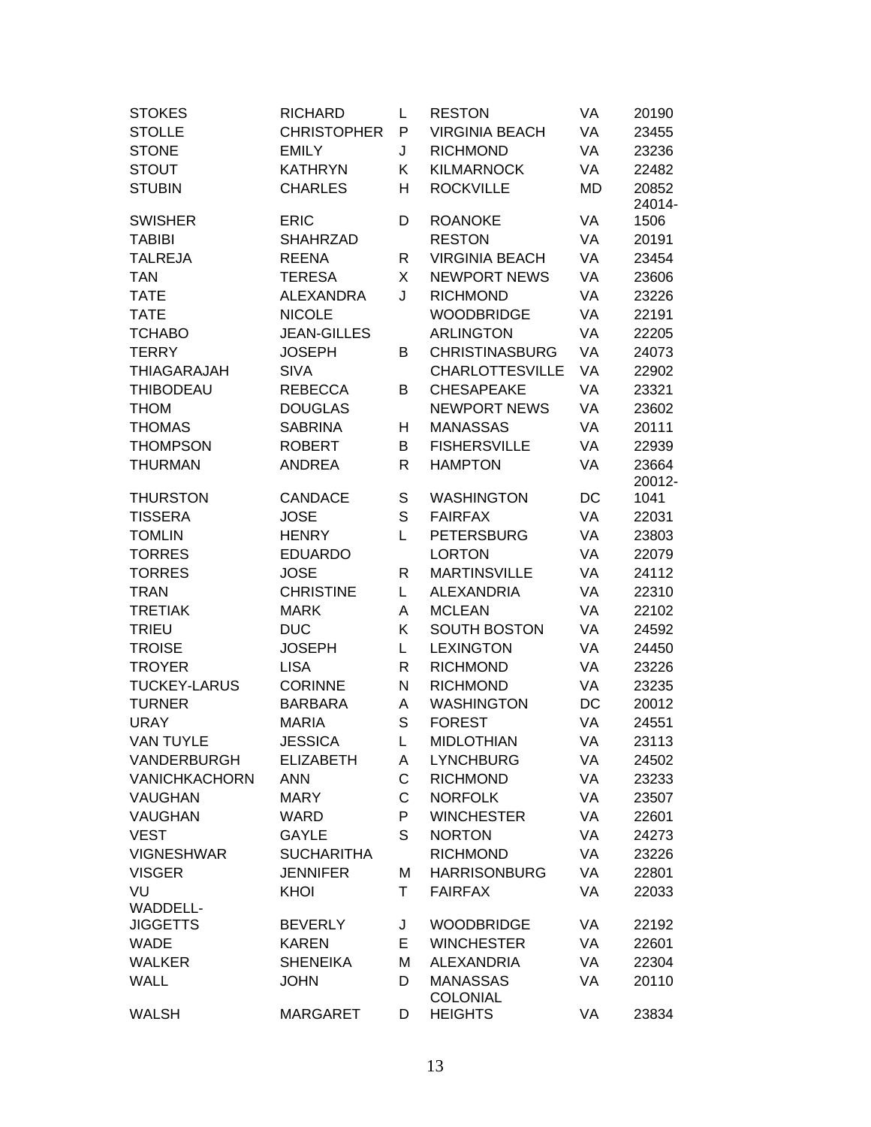| <b>STOKES</b>        | <b>RICHARD</b>     | L            | <b>RESTON</b>                     | VA        | 20190           |
|----------------------|--------------------|--------------|-----------------------------------|-----------|-----------------|
| <b>STOLLE</b>        | <b>CHRISTOPHER</b> | P            | <b>VIRGINIA BEACH</b>             | <b>VA</b> | 23455           |
| <b>STONE</b>         | <b>EMILY</b>       | J            | <b>RICHMOND</b>                   | VA        | 23236           |
| <b>STOUT</b>         | <b>KATHRYN</b>     | K            | <b>KILMARNOCK</b>                 | VA        | 22482           |
| <b>STUBIN</b>        | <b>CHARLES</b>     | н            | <b>ROCKVILLE</b>                  | MD        | 20852           |
|                      |                    |              |                                   |           | 24014-          |
| <b>SWISHER</b>       | <b>ERIC</b>        | D            | <b>ROANOKE</b>                    | VA        | 1506            |
| <b>TABIBI</b>        | <b>SHAHRZAD</b>    |              | <b>RESTON</b>                     | VA        | 20191           |
| <b>TALREJA</b>       | <b>REENA</b>       | R            | <b>VIRGINIA BEACH</b>             | VA        | 23454           |
| <b>TAN</b>           | <b>TERESA</b>      | X            | <b>NEWPORT NEWS</b>               | VA        | 23606           |
| <b>TATE</b>          | <b>ALEXANDRA</b>   | J            | <b>RICHMOND</b>                   | VA        | 23226           |
| <b>TATE</b>          | <b>NICOLE</b>      |              | <b>WOODBRIDGE</b>                 | VA        | 22191           |
| <b>TCHABO</b>        | <b>JEAN-GILLES</b> |              | <b>ARLINGTON</b>                  | VA        | 22205           |
| <b>TERRY</b>         | JOSEPH             | B            | <b>CHRISTINASBURG</b>             | VA        | 24073           |
| <b>THIAGARAJAH</b>   | <b>SIVA</b>        |              | <b>CHARLOTTESVILLE</b>            | <b>VA</b> | 22902           |
| <b>THIBODEAU</b>     | <b>REBECCA</b>     | B            | <b>CHESAPEAKE</b>                 | VA        | 23321           |
| <b>THOM</b>          | <b>DOUGLAS</b>     |              | <b>NEWPORT NEWS</b>               | VA        | 23602           |
| <b>THOMAS</b>        | <b>SABRINA</b>     | Н            | <b>MANASSAS</b>                   | VA        | 20111           |
| <b>THOMPSON</b>      | <b>ROBERT</b>      | B            | <b>FISHERSVILLE</b>               | VA        | 22939           |
| <b>THURMAN</b>       | <b>ANDREA</b>      | R            | <b>HAMPTON</b>                    | VA        | 23664<br>20012- |
| <b>THURSTON</b>      | <b>CANDACE</b>     | S            | <b>WASHINGTON</b>                 | DC        | 1041            |
| <b>TISSERA</b>       | <b>JOSE</b>        | S            | <b>FAIRFAX</b>                    | VA        | 22031           |
| <b>TOMLIN</b>        | <b>HENRY</b>       | L            | <b>PETERSBURG</b>                 | VA        | 23803           |
| <b>TORRES</b>        | <b>EDUARDO</b>     |              | <b>LORTON</b>                     | VA        | 22079           |
| <b>TORRES</b>        | <b>JOSE</b>        | $\mathsf{R}$ | <b>MARTINSVILLE</b>               | VA        | 24112           |
| <b>TRAN</b>          | <b>CHRISTINE</b>   | L            | <b>ALEXANDRIA</b>                 | VA        | 22310           |
| <b>TRETIAK</b>       | <b>MARK</b>        | Α            | <b>MCLEAN</b>                     | VA        | 22102           |
| <b>TRIEU</b>         | <b>DUC</b>         | Κ            | <b>SOUTH BOSTON</b>               | VA        | 24592           |
| <b>TROISE</b>        | <b>JOSEPH</b>      | L            | <b>LEXINGTON</b>                  | VA        | 24450           |
| <b>TROYER</b>        | <b>LISA</b>        | R            | <b>RICHMOND</b>                   | VA        | 23226           |
| <b>TUCKEY-LARUS</b>  | <b>CORINNE</b>     | N            | <b>RICHMOND</b>                   | VA        | 23235           |
| <b>TURNER</b>        | <b>BARBARA</b>     | Α            | <b>WASHINGTON</b>                 | DC        | 20012           |
| <b>URAY</b>          | <b>MARIA</b>       | S            | <b>FOREST</b>                     | VA        | 24551           |
| <b>VAN TUYLE</b>     | <b>JESSICA</b>     | L            | <b>MIDLOTHIAN</b>                 | VA        | 23113           |
| VANDERBURGH          | <b>ELIZABETH</b>   | A            | <b>LYNCHBURG</b>                  | VA        | 24502           |
| <b>VANICHKACHORN</b> | <b>ANN</b>         | C            | <b>RICHMOND</b>                   | VA        | 23233           |
| VAUGHAN              | <b>MARY</b>        | C            | <b>NORFOLK</b>                    | VA        | 23507           |
| VAUGHAN              | <b>WARD</b>        | P            | <b>WINCHESTER</b>                 | VA        | 22601           |
| <b>VEST</b>          | <b>GAYLE</b>       | S            | <b>NORTON</b>                     | VA        | 24273           |
| <b>VIGNESHWAR</b>    | <b>SUCHARITHA</b>  |              | <b>RICHMOND</b>                   | VA        | 23226           |
| <b>VISGER</b>        | <b>JENNIFER</b>    | М            | <b>HARRISONBURG</b>               | VA        | 22801           |
| VU                   | KHOI               | T.           | <b>FAIRFAX</b>                    | VA        | 22033           |
| <b>WADDELL-</b>      |                    |              |                                   |           |                 |
| <b>JIGGETTS</b>      | <b>BEVERLY</b>     | J            | <b>WOODBRIDGE</b>                 | VA        | 22192           |
| <b>WADE</b>          | <b>KAREN</b>       | E.           | <b>WINCHESTER</b>                 | VA        | 22601           |
| <b>WALKER</b>        | <b>SHENEIKA</b>    | M            | <b>ALEXANDRIA</b>                 | VA        | 22304           |
| <b>WALL</b>          | <b>JOHN</b>        | D            | <b>MANASSAS</b>                   | VA        | 20110           |
| <b>WALSH</b>         | <b>MARGARET</b>    | D            | <b>COLONIAL</b><br><b>HEIGHTS</b> | VA        | 23834           |
|                      |                    |              |                                   |           |                 |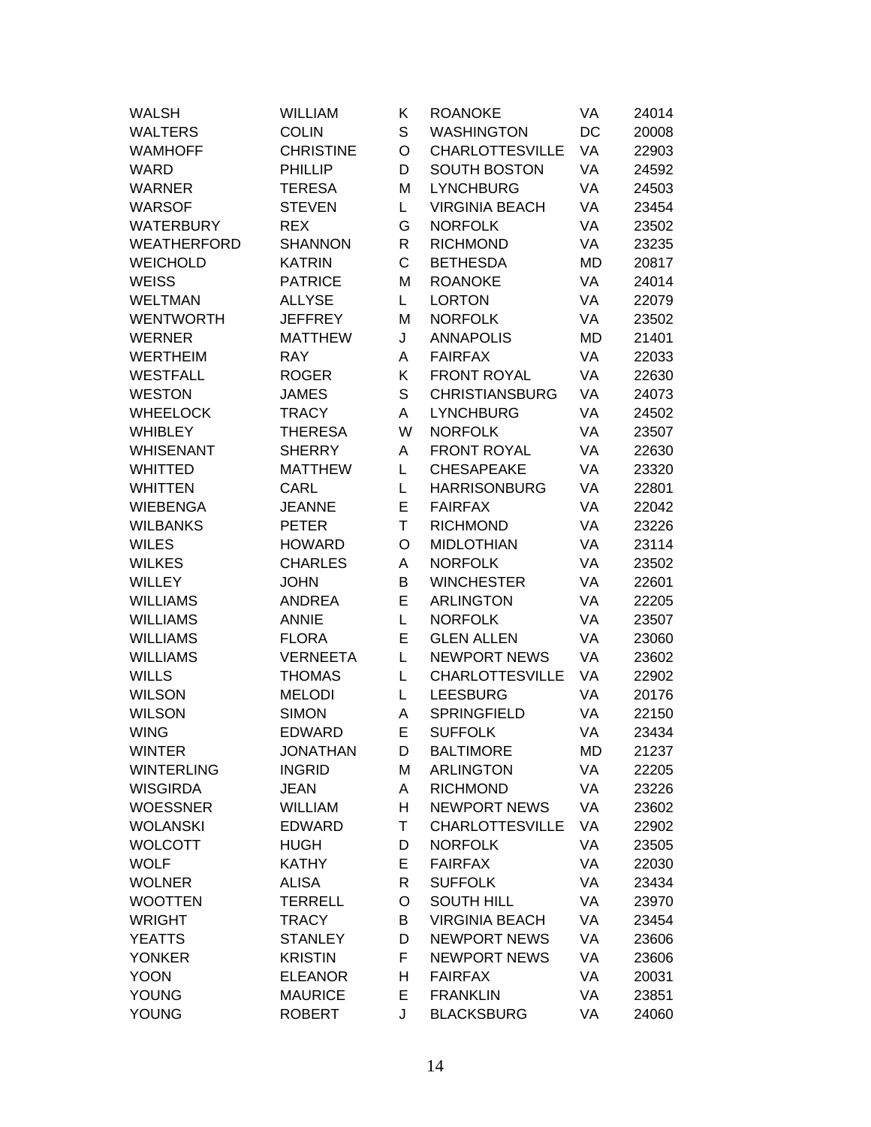| <b>WALSH</b>      | <b>WILLIAM</b>   | Κ            | <b>ROANOKE</b>         | VA | 24014 |
|-------------------|------------------|--------------|------------------------|----|-------|
| <b>WALTERS</b>    | <b>COLIN</b>     | S            | <b>WASHINGTON</b>      | DC | 20008 |
| <b>WAMHOFF</b>    | <b>CHRISTINE</b> | O            | <b>CHARLOTTESVILLE</b> | VA | 22903 |
| <b>WARD</b>       | <b>PHILLIP</b>   | D            | <b>SOUTH BOSTON</b>    | VA | 24592 |
| <b>WARNER</b>     | <b>TERESA</b>    | M            | <b>LYNCHBURG</b>       | VA | 24503 |
| <b>WARSOF</b>     | <b>STEVEN</b>    | L.           | <b>VIRGINIA BEACH</b>  | VA | 23454 |
| <b>WATERBURY</b>  | <b>REX</b>       | G            | <b>NORFOLK</b>         | VA | 23502 |
| WEATHERFORD       | <b>SHANNON</b>   | R            | <b>RICHMOND</b>        | VA | 23235 |
| <b>WEICHOLD</b>   | <b>KATRIN</b>    | $\mathsf C$  | <b>BETHESDA</b>        | MD | 20817 |
| <b>WEISS</b>      | <b>PATRICE</b>   | M            | <b>ROANOKE</b>         | VA | 24014 |
| <b>WELTMAN</b>    | <b>ALLYSE</b>    | L            | <b>LORTON</b>          | VA | 22079 |
| <b>WENTWORTH</b>  | <b>JEFFREY</b>   | M            | <b>NORFOLK</b>         | VA | 23502 |
| <b>WERNER</b>     | <b>MATTHEW</b>   | J            | <b>ANNAPOLIS</b>       | MD | 21401 |
| <b>WERTHEIM</b>   | <b>RAY</b>       | Α            | <b>FAIRFAX</b>         | VA | 22033 |
| <b>WESTFALL</b>   | <b>ROGER</b>     | Κ            | <b>FRONT ROYAL</b>     | VA | 22630 |
| <b>WESTON</b>     | <b>JAMES</b>     | S            | <b>CHRISTIANSBURG</b>  | VA | 24073 |
| <b>WHEELOCK</b>   | <b>TRACY</b>     | A            | <b>LYNCHBURG</b>       | VA | 24502 |
| <b>WHIBLEY</b>    | <b>THERESA</b>   | W            | <b>NORFOLK</b>         | VA | 23507 |
| <b>WHISENANT</b>  | <b>SHERRY</b>    | Α            | <b>FRONT ROYAL</b>     | VA | 22630 |
| <b>WHITTED</b>    | <b>MATTHEW</b>   | L            | <b>CHESAPEAKE</b>      | VA | 23320 |
| <b>WHITTEN</b>    | CARL             | L            | <b>HARRISONBURG</b>    | VA | 22801 |
| <b>WIEBENGA</b>   | <b>JEANNE</b>    | E            | <b>FAIRFAX</b>         | VA | 22042 |
| <b>WILBANKS</b>   | <b>PETER</b>     | T            | <b>RICHMOND</b>        | VA | 23226 |
| <b>WILES</b>      | <b>HOWARD</b>    | O            | <b>MIDLOTHIAN</b>      | VA | 23114 |
| <b>WILKES</b>     | <b>CHARLES</b>   | Α            | <b>NORFOLK</b>         | VA | 23502 |
| <b>WILLEY</b>     | <b>JOHN</b>      | B            | <b>WINCHESTER</b>      | VA | 22601 |
| <b>WILLIAMS</b>   | <b>ANDREA</b>    | E            | <b>ARLINGTON</b>       | VA | 22205 |
| <b>WILLIAMS</b>   | <b>ANNIE</b>     | L            | <b>NORFOLK</b>         | VA | 23507 |
| <b>WILLIAMS</b>   | <b>FLORA</b>     | E            | <b>GLEN ALLEN</b>      | VA | 23060 |
| <b>WILLIAMS</b>   | <b>VERNEETA</b>  | L.           | <b>NEWPORT NEWS</b>    | VA | 23602 |
| <b>WILLS</b>      | <b>THOMAS</b>    | L            | <b>CHARLOTTESVILLE</b> | VA | 22902 |
| <b>WILSON</b>     | <b>MELODI</b>    | L            | <b>LEESBURG</b>        | VA | 20176 |
| <b>WILSON</b>     | <b>SIMON</b>     | A            | <b>SPRINGFIELD</b>     | VA | 22150 |
| <b>WING</b>       | <b>EDWARD</b>    | Е            | <b>SUFFOLK</b>         | VA | 23434 |
| <b>WINTER</b>     | <b>JONATHAN</b>  | D            | <b>BALTIMORE</b>       | MD | 21237 |
| <b>WINTERLING</b> | <b>INGRID</b>    | M            | <b>ARLINGTON</b>       | VA | 22205 |
| <b>WISGIRDA</b>   | <b>JEAN</b>      | A            | <b>RICHMOND</b>        | VA | 23226 |
| <b>WOESSNER</b>   | <b>WILLIAM</b>   | H            | <b>NEWPORT NEWS</b>    | VA | 23602 |
| <b>WOLANSKI</b>   | <b>EDWARD</b>    | T.           | <b>CHARLOTTESVILLE</b> | VA | 22902 |
| <b>WOLCOTT</b>    | <b>HUGH</b>      | D            | <b>NORFOLK</b>         | VA | 23505 |
| <b>WOLF</b>       | <b>KATHY</b>     | E            | <b>FAIRFAX</b>         | VA | 22030 |
| <b>WOLNER</b>     | <b>ALISA</b>     | $\mathsf{R}$ | <b>SUFFOLK</b>         | VA | 23434 |
| <b>WOOTTEN</b>    | <b>TERRELL</b>   | O            | <b>SOUTH HILL</b>      | VA | 23970 |
| <b>WRIGHT</b>     | <b>TRACY</b>     | В            | <b>VIRGINIA BEACH</b>  | VA | 23454 |
| <b>YEATTS</b>     | <b>STANLEY</b>   | D            | <b>NEWPORT NEWS</b>    | VA | 23606 |
| <b>YONKER</b>     | <b>KRISTIN</b>   | F            | <b>NEWPORT NEWS</b>    | VA | 23606 |
| <b>YOON</b>       | <b>ELEANOR</b>   | н            | <b>FAIRFAX</b>         | VA | 20031 |
| <b>YOUNG</b>      | <b>MAURICE</b>   | E.           | <b>FRANKLIN</b>        | VA | 23851 |
| <b>YOUNG</b>      | <b>ROBERT</b>    | J            | <b>BLACKSBURG</b>      | VA | 24060 |